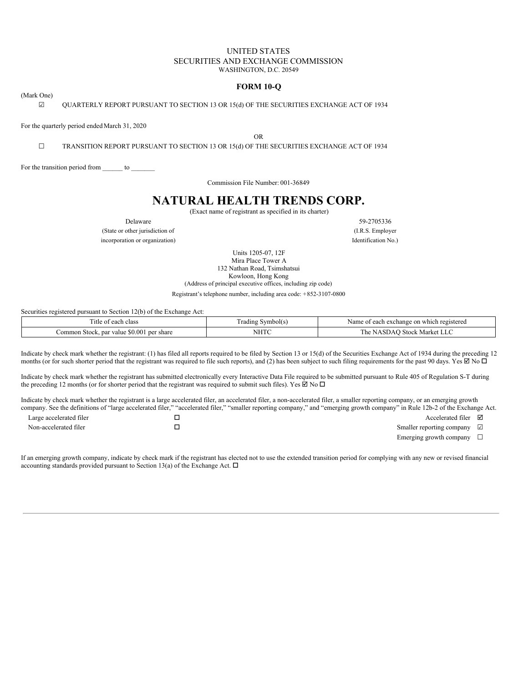# UNITED STATES SECURITIES AND EXCHANGE COMMISSION WASHINGTON, D.C. 20549

# **FORM 10-Q**

(Mark One)

☑ QUARTERLY REPORT PURSUANT TO SECTION 13 OR 15(d) OF THE SECURITIES EXCHANGE ACT OF 1934

For the quarterly period ended March 31, 2020

OR

☐ TRANSITION REPORT PURSUANT TO SECTION 13 OR 15(d) OF THE SECURITIES EXCHANGE ACT OF 1934

For the transition period from \_\_\_\_\_\_\_ to \_\_\_\_\_\_\_\_

Commission File Number: 001-36849

# **NATURAL HEALTH TRENDS CORP.**

(Exact name of registrant as specified in its charter)

(State or other jurisdiction of (I.R.S. Employer incorporation or organization) Identification No.)

Delaware 59-2705336

Units 1205-07, 12F

Mira Place Tower A 132 Nathan Road, Tsimshatsui

Kowloon, Hong Kong

(Address of principal executive offices, including zip code)

Registrant's telephone number, including area code: +852-3107-0800

Securities registered pursuant to Section 12(b) of the Exchange Act:

| $\sim$<br>-itle<br>class                                  | $\sim$<br>bolt s<br>adıng : | on<br>which registered<br>Name<br>, exchange<br>$\alpha$<br>≂aun |
|-----------------------------------------------------------|-----------------------------|------------------------------------------------------------------|
| - 71<br>per share<br>ommo<br>value<br>nar<br>Stock.<br>on | <b>STETT</b>                | Market .<br>.stock<br>.                                          |

Indicate by check mark whether the registrant: (1) has filed all reports required to be filed by Section 13 or 15(d) of the Securities Exchange Act of 1934 during the preceding 12 months (or for such shorter period that the registrant was required to file such reports), and (2) has been subject to such filing requirements for the past 90 days. Yes  $\boxtimes$  No  $\Box$ 

Indicate by check mark whether the registrant has submitted electronically every Interactive Data File required to be submitted pursuant to Rule 405 of Regulation S-T during the preceding 12 months (or for shorter period that the registrant was required to submit such files). Yes  $\overline{\boxtimes}$  No  $\Box$ 

Indicate by check mark whether the registrant is a large accelerated filer, an accelerated filer, a non-accelerated filer, a smaller reporting company, or an emerging growth company. See the definitions of "large accelerated filer," "accelerated filer," "smaller reporting company," and "emerging growth company" in Rule 12b-2 of the Exchange Act.

| Large accelerated filer | Accelerated filer         |
|-------------------------|---------------------------|
| Non-accelerated filer   | Smaller reporting company |
|                         | Emerging growth company   |

If an emerging growth company, indicate by check mark if the registrant has elected not to use the extended transition period for complying with any new or revised financial accounting standards provided pursuant to Section 13(a) of the Exchange Act.  $\Box$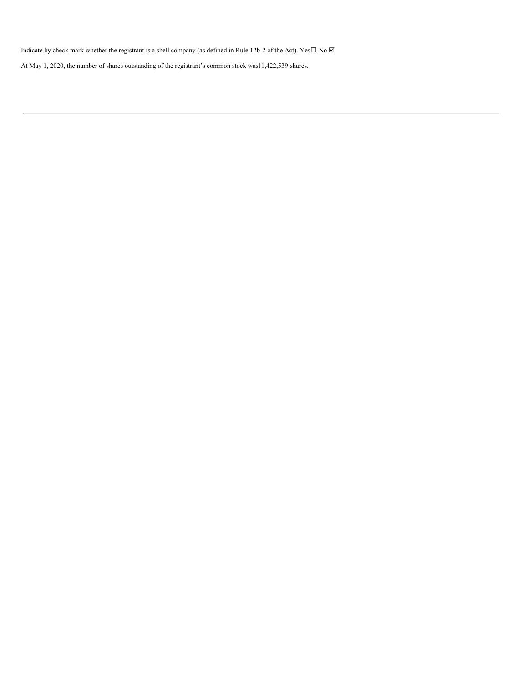Indicate by check mark whether the registrant is a shell company (as defined in Rule 12b-2 of the Act). Yes $\Box$  No  $\Box$ 

At May 1, 2020, the number of shares outstanding of the registrant's common stock was11,422,539 shares.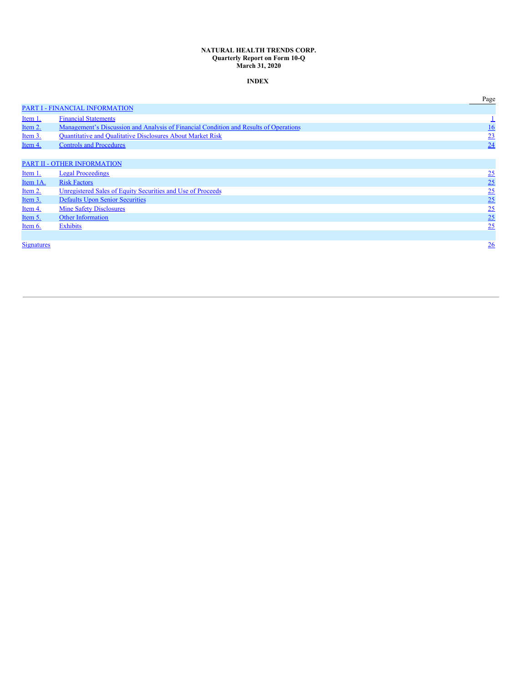# **NATURAL HEALTH TRENDS CORP. Quarterly Report on Form 10-Q March 31, 2020**

# **INDEX**

|                   |                                                                                       | Page            |
|-------------------|---------------------------------------------------------------------------------------|-----------------|
|                   | <b>PART I - FINANCIAL INFORMATION</b>                                                 |                 |
| Item $1$ .        | <b>Financial Statements</b>                                                           |                 |
| Item 2.           | Management's Discussion and Analysis of Financial Condition and Results of Operations | 16              |
| Item 3.           | Quantitative and Qualitative Disclosures About Market Risk                            | 23              |
| Item 4.           | <b>Controls and Procedures</b>                                                        | 24              |
|                   |                                                                                       |                 |
|                   | PART II - OTHER INFORMATION                                                           |                 |
| Item $1$ .        | <b>Legal Proceedings</b>                                                              | $\overline{25}$ |
| Item 1A.          | <b>Risk Factors</b>                                                                   | $\overline{25}$ |
| Item 2.           | Unregistered Sales of Equity Securities and Use of Proceeds                           | 25              |
| Item 3.           | <b>Defaults Upon Senior Securities</b>                                                | 25              |
| Item 4.           | <b>Mine Safety Disclosures</b>                                                        | 25              |
| Item 5.           | Other Information                                                                     | 25              |
| Item 6.           | <b>Exhibits</b>                                                                       | 25              |
|                   |                                                                                       |                 |
| <b>Signatures</b> |                                                                                       | 26              |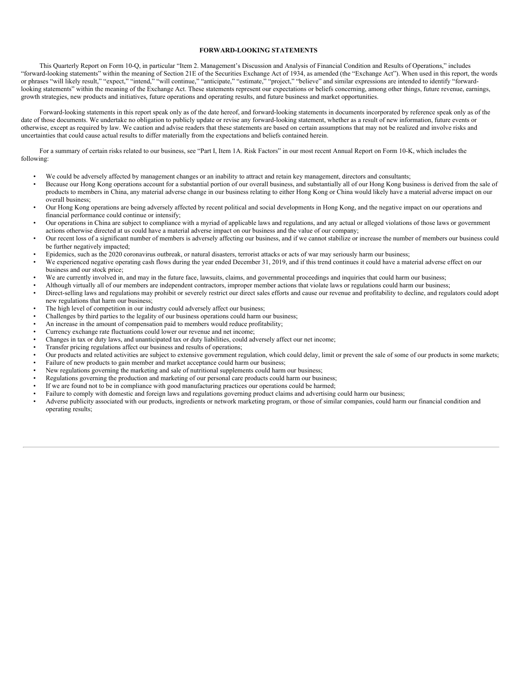## **FORWARD-LOOKING STATEMENTS**

This Quarterly Report on Form 10-Q, in particular "Item 2. Management's Discussion and Analysis of Financial Condition and Results of Operations," includes "forward-looking statements" within the meaning of Section 21E of the Securities Exchange Act of 1934, as amended (the "Exchange Act"). When used in this report, the words or phrases "will likely result," "expect," "intend," "will continue," "anticipate," "estimate," "project," "believe" and similar expressions are intended to identify "forwardlooking statements" within the meaning of the Exchange Act. These statements represent our expectations or beliefs concerning, among other things, future revenue, earnings, growth strategies, new products and initiatives, future operations and operating results, and future business and market opportunities.

Forward-looking statements in this report speak only as of the date hereof, and forward-looking statements in documents incorporated by reference speak only as of the date of those documents. We undertake no obligation to publicly update or revise any forward-looking statement, whether as a result of new information, future events or otherwise, except as required by law. We caution and advise readers that these statements are based on certain assumptions that may not be realized and involve risks and uncertainties that could cause actual results to differ materially from the expectations and beliefs contained herein.

For a summary of certain risks related to our business, see "Part I, Item 1A. Risk Factors" in our most recent Annual Report on Form 10-K, which includes the following:

- We could be adversely affected by management changes or an inability to attract and retain key management, directors and consultants;
- Because our Hong Kong operations account for a substantial portion of our overall business, and substantially all of our Hong Kong business is derived from the sale of products to members in China, any material adverse change in our business relating to either Hong Kong or China would likely have a material adverse impact on our overall business;
- Our Hong Kong operations are being adversely affected by recent political and social developments in Hong Kong, and the negative impact on our operations and financial performance could continue or intensify;
- Our operations in China are subject to compliance with a myriad of applicable laws and regulations, and any actual or alleged violations of those laws or government actions otherwise directed at us could have a material adverse impact on our business and the value of our company;
- Our recent loss of a significant number of members is adversely affecting our business, and if we cannot stabilize or increase the number of members our business could be further negatively impacted;
- Epidemics, such as the 2020 coronavirus outbreak, or natural disasters, terrorist attacks or acts of war may seriously harm our business;
- We experienced negative operating cash flows during the year ended December 31, 2019, and if this trend continues it could have a material adverse effect on our business and our stock price;
- We are currently involved in, and may in the future face, lawsuits, claims, and governmental proceedings and inquiries that could harm our business;
- Although virtually all of our members are independent contractors, improper member actions that violate laws or regulations could harm our business;
- Direct-selling laws and regulations may prohibit or severely restrict our direct sales efforts and cause our revenue and profitability to decline, and regulators could adopt new regulations that harm our business;
- The high level of competition in our industry could adversely affect our business;
- Challenges by third parties to the legality of our business operations could harm our business;
- An increase in the amount of compensation paid to members would reduce profitability;
- Currency exchange rate fluctuations could lower our revenue and net income;
- Changes in tax or duty laws, and unanticipated tax or duty liabilities, could adversely affect our net income;
- Transfer pricing regulations affect our business and results of operations;
- Our products and related activities are subject to extensive government regulation, which could delay, limit or prevent the sale of some of our products in some markets;
- Failure of new products to gain member and market acceptance could harm our business:
- New regulations governing the marketing and sale of nutritional supplements could harm our business;
- Regulations governing the production and marketing of our personal care products could harm our business;
- If we are found not to be in compliance with good manufacturing practices our operations could be harmed;
- Failure to comply with domestic and foreign laws and regulations governing product claims and advertising could harm our business;
- Adverse publicity associated with our products, ingredients or network marketing program, or those of similar companies, could harm our financial condition and operating results;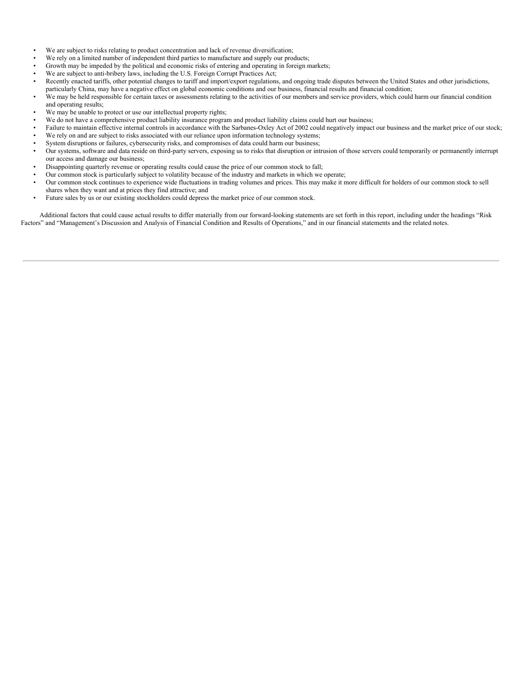- We are subject to risks relating to product concentration and lack of revenue diversification;
- We rely on a limited number of independent third parties to manufacture and supply our products;
- Growth may be impeded by the political and economic risks of entering and operating in foreign markets;
- We are subject to anti-bribery laws, including the U.S. Foreign Corrupt Practices Act;
- Recently enacted tariffs, other potential changes to tariff and import/export regulations, and ongoing trade disputes between the United States and other jurisdictions, particularly China, may have a negative effect on global economic conditions and our business, financial results and financial condition;
- We may be held responsible for certain taxes or assessments relating to the activities of our members and service providers, which could harm our financial condition and operating results;
- We may be unable to protect or use our intellectual property rights;
- We do not have a comprehensive product liability insurance program and product liability claims could hurt our business;
- Failure to maintain effective internal controls in accordance with the Sarbanes-Oxley Act of 2002 could negatively impact our business and the market price of our stock; We rely on and are subject to risks associated with our reliance upon information technology systems;
- System disruptions or failures, cybersecurity risks, and compromises of data could harm our business;
- Our systems, software and data reside on third-party servers, exposing us to risks that disruption or intrusion of those servers could temporarily or permanently interrupt our access and damage our business;
- Disappointing quarterly revenue or operating results could cause the price of our common stock to fall;
- Our common stock is particularly subject to volatility because of the industry and markets in which we operate;
- Our common stock continues to experience wide fluctuations in trading volumes and prices. This may make it more difficult for holders of our common stock to sell shares when they want and at prices they find attractive; and
- Future sales by us or our existing stockholders could depress the market price of our common stock.

<span id="page-4-0"></span>Additional factors that could cause actual results to differ materially from our forward-looking statements are set forth in this report, including under the headings "Risk Factors" and "Management's Discussion and Analysis of Financial Condition and Results of Operations," and in our financial statements and the related notes.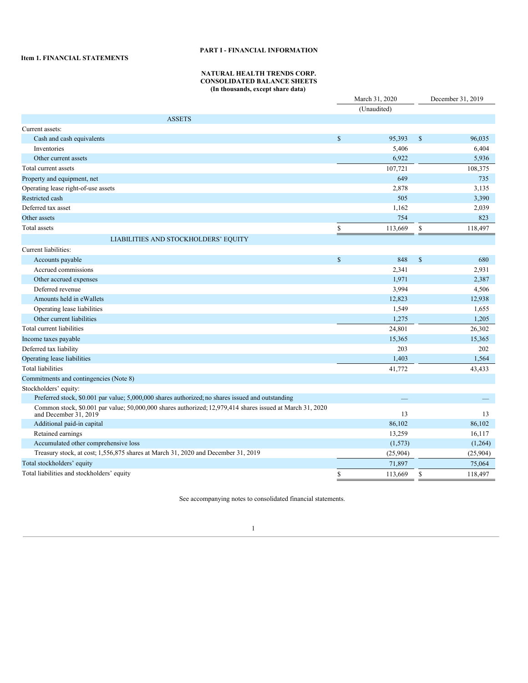# **PART I - FINANCIAL INFORMATION**

## **NATURAL HEALTH TRENDS CORP. CONSOLIDATED BALANCE SHEETS (In thousands, except share data)**

<span id="page-5-0"></span>

|                                                                                                                                    | March 31, 2020 |             |              |          |  |  |
|------------------------------------------------------------------------------------------------------------------------------------|----------------|-------------|--------------|----------|--|--|
|                                                                                                                                    |                | (Unaudited) |              |          |  |  |
| <b>ASSETS</b>                                                                                                                      |                |             |              |          |  |  |
| Current assets:                                                                                                                    |                |             |              |          |  |  |
| Cash and cash equivalents                                                                                                          | $\mathbb S$    | 95,393      | $\mathbb S$  | 96,035   |  |  |
| Inventories                                                                                                                        |                | 5,406       |              | 6,404    |  |  |
| Other current assets                                                                                                               |                | 6,922       |              | 5,936    |  |  |
| Total current assets                                                                                                               |                | 107,721     |              | 108,375  |  |  |
| Property and equipment, net                                                                                                        |                | 649         |              | 735      |  |  |
| Operating lease right-of-use assets                                                                                                |                | 2,878       |              | 3,135    |  |  |
| Restricted cash                                                                                                                    |                | 505         |              | 3,390    |  |  |
| Deferred tax asset                                                                                                                 |                | 1,162       |              | 2,039    |  |  |
| Other assets                                                                                                                       |                | 754         |              | 823      |  |  |
| <b>Total</b> assets                                                                                                                | ${\mathbb S}$  | 113,669     | \$           | 118,497  |  |  |
| LIABILITIES AND STOCKHOLDERS' EQUITY                                                                                               |                |             |              |          |  |  |
| Current liabilities:                                                                                                               |                |             |              |          |  |  |
| Accounts payable                                                                                                                   | $\mathbb{S}$   | 848         | $\mathbb{S}$ | 680      |  |  |
| Accrued commissions                                                                                                                |                | 2,341       |              | 2,931    |  |  |
| Other accrued expenses                                                                                                             |                | 1,971       |              | 2,387    |  |  |
| Deferred revenue                                                                                                                   |                | 3,994       |              | 4,506    |  |  |
| Amounts held in eWallets                                                                                                           |                | 12,823      |              | 12,938   |  |  |
| Operating lease liabilities                                                                                                        |                | 1,549       |              | 1,655    |  |  |
| Other current liabilities                                                                                                          |                | 1,275       |              | 1,205    |  |  |
| Total current liabilities                                                                                                          |                | 24,801      |              | 26,302   |  |  |
| Income taxes payable                                                                                                               |                | 15,365      |              | 15,365   |  |  |
| Deferred tax liability                                                                                                             |                | 203         |              | 202      |  |  |
| Operating lease liabilities                                                                                                        |                | 1,403       |              | 1,564    |  |  |
| <b>Total liabilities</b>                                                                                                           |                | 41,772      |              | 43,433   |  |  |
| Commitments and contingencies (Note 8)                                                                                             |                |             |              |          |  |  |
| Stockholders' equity:                                                                                                              |                |             |              |          |  |  |
| Preferred stock, \$0.001 par value; 5,000,000 shares authorized; no shares issued and outstanding                                  |                |             |              |          |  |  |
| Common stock, \$0.001 par value; 50,000,000 shares authorized; 12,979,414 shares issued at March 31, 2020<br>and December 31, 2019 |                | 13          |              | 13       |  |  |
| Additional paid-in capital                                                                                                         |                | 86,102      |              | 86,102   |  |  |
| Retained earnings                                                                                                                  |                | 13,259      |              | 16,117   |  |  |
| Accumulated other comprehensive loss                                                                                               |                | (1,573)     |              | (1,264)  |  |  |
| Treasury stock, at cost; 1,556,875 shares at March 31, 2020 and December 31, 2019                                                  |                | (25,904)    |              | (25,904) |  |  |
| Total stockholders' equity                                                                                                         |                | 71,897      |              | 75,064   |  |  |
| Total liabilities and stockholders' equity                                                                                         | S              | 113,669     | \$           | 118,497  |  |  |

See accompanying notes to consolidated financial statements.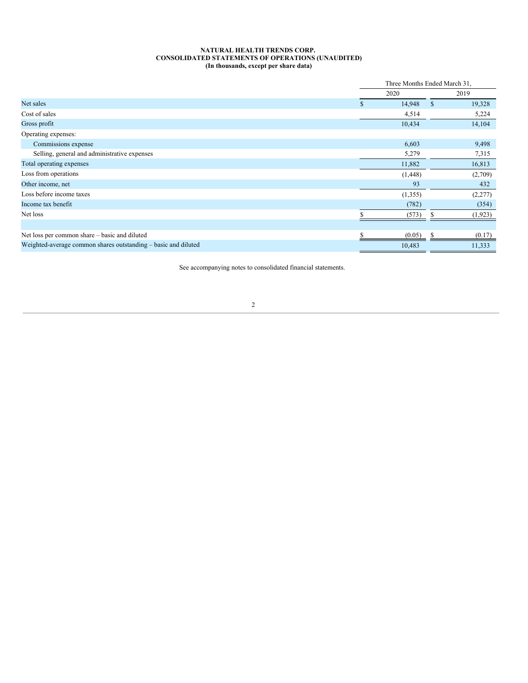### **NATURAL HEALTH TRENDS CORP. CONSOLIDATED STATEMENTS OF OPERATIONS (UNAUDITED) (In thousands, except per share data)**

|                                                                | Three Months Ended March 31, |          |              |         |  |  |  |
|----------------------------------------------------------------|------------------------------|----------|--------------|---------|--|--|--|
|                                                                |                              | 2020     |              | 2019    |  |  |  |
| Net sales                                                      | \$                           | 14,948   | <sup>S</sup> | 19,328  |  |  |  |
| Cost of sales                                                  |                              | 4,514    |              | 5,224   |  |  |  |
| Gross profit                                                   |                              | 10,434   |              | 14,104  |  |  |  |
| Operating expenses:                                            |                              |          |              |         |  |  |  |
| Commissions expense                                            |                              | 6,603    |              | 9,498   |  |  |  |
| Selling, general and administrative expenses                   |                              | 5,279    |              | 7,315   |  |  |  |
| Total operating expenses                                       |                              | 11,882   |              | 16,813  |  |  |  |
| Loss from operations                                           |                              | (1, 448) |              | (2,709) |  |  |  |
| Other income, net                                              |                              | 93       |              | 432     |  |  |  |
| Loss before income taxes                                       |                              | (1, 355) |              | (2,277) |  |  |  |
| Income tax benefit                                             |                              | (782)    |              | (354)   |  |  |  |
| Net loss                                                       |                              | (573)    |              | (1,923) |  |  |  |
|                                                                |                              |          |              |         |  |  |  |
| Net loss per common share – basic and diluted                  |                              | (0.05)   |              | (0.17)  |  |  |  |
| Weighted-average common shares outstanding – basic and diluted |                              | 10,483   |              | 11,333  |  |  |  |

See accompanying notes to consolidated financial statements.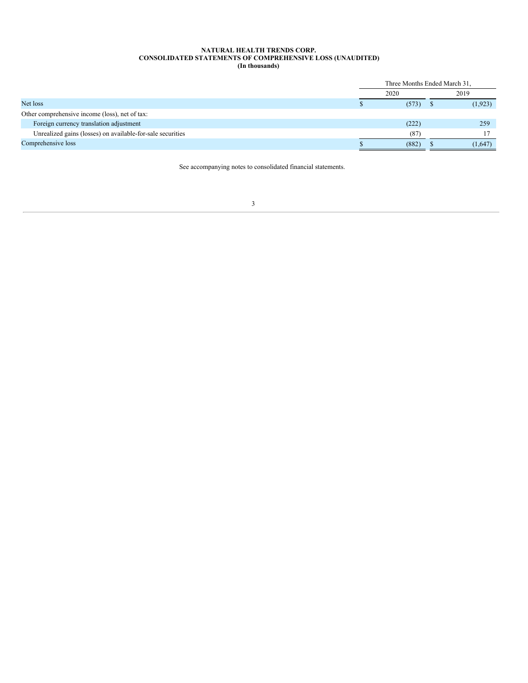#### **NATURAL HEALTH TRENDS CORP. CONSOLIDATED STATEMENTS OF COMPREHENSIVE LOSS (UNAUDITED) (In thousands)**

|                                                            |      | Three Months Ended March 31, |  |         |  |  |  |
|------------------------------------------------------------|------|------------------------------|--|---------|--|--|--|
|                                                            | 2020 |                              |  |         |  |  |  |
| Net loss                                                   |      | (573)                        |  | (1,923) |  |  |  |
| Other comprehensive income (loss), net of tax:             |      |                              |  |         |  |  |  |
| Foreign currency translation adjustment                    |      | (222)                        |  | 259     |  |  |  |
| Unrealized gains (losses) on available-for-sale securities |      | (87)                         |  |         |  |  |  |
| Comprehensive loss                                         |      | (882)                        |  | (1,647) |  |  |  |

See accompanying notes to consolidated financial statements.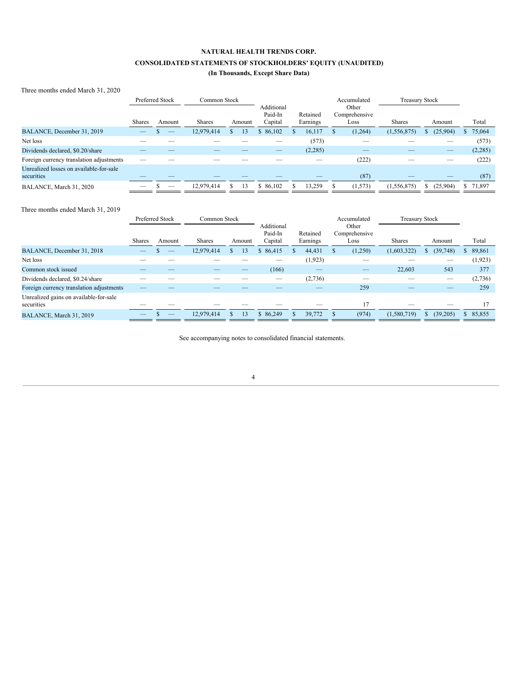# **NATURAL HEALTH TRENDS CORP. CONSOLIDATED STATEMENTS OF STOCKHOLDERS' EQUITY (UNAUDITED) (In Thousands, Except Share Data)**

# Three months ended March 31, 2020

|                                                       |               | Preferred Stock          | Common Stock  |  |        |                                  |    |                      | Accumulated                    | <b>Treasury Stock</b> |  |                   |  |           |
|-------------------------------------------------------|---------------|--------------------------|---------------|--|--------|----------------------------------|----|----------------------|--------------------------------|-----------------------|--|-------------------|--|-----------|
|                                                       | <b>Shares</b> | Amount                   | <b>Shares</b> |  | Amount | Additional<br>Paid-In<br>Capital |    | Retained<br>Earnings | Other<br>Comprehensive<br>Loss | <b>Shares</b>         |  | Amount            |  | Total     |
| BALANCE, December 31, 2019                            |               | $\overline{\phantom{a}}$ | 12,979,414    |  | 13     | 86,102                           | ъ. | 16,117               | (1,264)                        | (1, 556, 875)         |  | (25,904)          |  | 75,064    |
| Net loss                                              |               |                          |               |  |        |                                  |    | (573)                |                                |                       |  |                   |  | (573)     |
| Dividends declared, \$0.20/share                      |               |                          |               |  |        | __                               |    | (2,285)              | __                             |                       |  | $\qquad \qquad -$ |  | (2, 285)  |
| Foreign currency translation adjustments              |               |                          |               |  |        |                                  |    |                      | (222)                          |                       |  |                   |  | (222)     |
| Unrealized losses on available-for-sale<br>securities |               |                          |               |  |        |                                  |    |                      | (87)                           |                       |  |                   |  | (87)      |
| BALANCE, March 31, 2020                               |               |                          | 12,979,414    |  | 13     | \$ 86,102                        |    | 13.259               | (1,573)                        | (1, 556, 875)         |  | (25,904)          |  | \$ 71,897 |
|                                                       |               |                          |               |  |        |                                  |    |                      |                                |                       |  |                   |  |           |

# Three months ended March 31, 2019

|                                                      | Preferred Stock |                          | Common Stock  |          |                                  |    |                      |  | Accumulated | <b>Treasury Stock</b> |  |          |  |          |  |  |  |  |  |  |  |  |  |  |  |  |  |  |  |  |  |  |  |  |  |  |  |  |  |  |  |  |  |  |  |  |  |  |  |  |  |  |  |  |  |  |  |  |  |  |  |  |  |  |  |  |  |  |  |  |  |  |  |  |  |  |                                |               |  |        |  |       |
|------------------------------------------------------|-----------------|--------------------------|---------------|----------|----------------------------------|----|----------------------|--|-------------|-----------------------|--|----------|--|----------|--|--|--|--|--|--|--|--|--|--|--|--|--|--|--|--|--|--|--|--|--|--|--|--|--|--|--|--|--|--|--|--|--|--|--|--|--|--|--|--|--|--|--|--|--|--|--|--|--|--|--|--|--|--|--|--|--|--|--|--|--|--|--------------------------------|---------------|--|--------|--|-------|
|                                                      | <b>Shares</b>   | Amount                   | <b>Shares</b> | Amount   | Additional<br>Paid-In<br>Capital |    | Retained<br>Earnings |  |             |                       |  |          |  |          |  |  |  |  |  |  |  |  |  |  |  |  |  |  |  |  |  |  |  |  |  |  |  |  |  |  |  |  |  |  |  |  |  |  |  |  |  |  |  |  |  |  |  |  |  |  |  |  |  |  |  |  |  |  |  |  |  |  |  |  |  |  | Other<br>Comprehensive<br>Loss | <b>Shares</b> |  | Amount |  | Total |
| BALANCE, December 31, 2018                           |                 | __                       | 12,979,414    | 13       | 86,415<br>ъ                      |    | 44,431               |  | (1,250)     | (1,603,322)           |  | (39,748) |  | 89,861   |  |  |  |  |  |  |  |  |  |  |  |  |  |  |  |  |  |  |  |  |  |  |  |  |  |  |  |  |  |  |  |  |  |  |  |  |  |  |  |  |  |  |  |  |  |  |  |  |  |  |  |  |  |  |  |  |  |  |  |  |  |  |                                |               |  |        |  |       |
| Net loss                                             |                 |                          |               |          |                                  |    | (1,923)              |  |             |                       |  | --       |  | (1, 923) |  |  |  |  |  |  |  |  |  |  |  |  |  |  |  |  |  |  |  |  |  |  |  |  |  |  |  |  |  |  |  |  |  |  |  |  |  |  |  |  |  |  |  |  |  |  |  |  |  |  |  |  |  |  |  |  |  |  |  |  |  |  |                                |               |  |        |  |       |
| Common stock issued                                  |                 |                          |               |          | (166)                            |    |                      |  |             | 22,603                |  | 543      |  | 377      |  |  |  |  |  |  |  |  |  |  |  |  |  |  |  |  |  |  |  |  |  |  |  |  |  |  |  |  |  |  |  |  |  |  |  |  |  |  |  |  |  |  |  |  |  |  |  |  |  |  |  |  |  |  |  |  |  |  |  |  |  |  |                                |               |  |        |  |       |
| Dividends declared, \$0.24/share                     |                 |                          |               |          | --                               |    | (2,736)              |  | --          |                       |  |          |  | (2,736)  |  |  |  |  |  |  |  |  |  |  |  |  |  |  |  |  |  |  |  |  |  |  |  |  |  |  |  |  |  |  |  |  |  |  |  |  |  |  |  |  |  |  |  |  |  |  |  |  |  |  |  |  |  |  |  |  |  |  |  |  |  |  |                                |               |  |        |  |       |
| Foreign currency translation adjustments             |                 |                          |               |          |                                  |    |                      |  | 259         |                       |  |          |  | 259      |  |  |  |  |  |  |  |  |  |  |  |  |  |  |  |  |  |  |  |  |  |  |  |  |  |  |  |  |  |  |  |  |  |  |  |  |  |  |  |  |  |  |  |  |  |  |  |  |  |  |  |  |  |  |  |  |  |  |  |  |  |  |                                |               |  |        |  |       |
| Unrealized gains on available-for-sale<br>securities |                 |                          |               |          |                                  |    |                      |  | 17          |                       |  |          |  | 17       |  |  |  |  |  |  |  |  |  |  |  |  |  |  |  |  |  |  |  |  |  |  |  |  |  |  |  |  |  |  |  |  |  |  |  |  |  |  |  |  |  |  |  |  |  |  |  |  |  |  |  |  |  |  |  |  |  |  |  |  |  |  |                                |               |  |        |  |       |
| BALANCE, March 31, 2019                              |                 | $\overline{\phantom{m}}$ | 12.979.414    | 13<br>S. | 86,249<br>\$.                    | S. | 39,772               |  | (974)       | (1,580,719)           |  | (39,205) |  | \$85,855 |  |  |  |  |  |  |  |  |  |  |  |  |  |  |  |  |  |  |  |  |  |  |  |  |  |  |  |  |  |  |  |  |  |  |  |  |  |  |  |  |  |  |  |  |  |  |  |  |  |  |  |  |  |  |  |  |  |  |  |  |  |  |                                |               |  |        |  |       |
|                                                      |                 |                          |               |          |                                  |    |                      |  |             |                       |  |          |  |          |  |  |  |  |  |  |  |  |  |  |  |  |  |  |  |  |  |  |  |  |  |  |  |  |  |  |  |  |  |  |  |  |  |  |  |  |  |  |  |  |  |  |  |  |  |  |  |  |  |  |  |  |  |  |  |  |  |  |  |  |  |  |                                |               |  |        |  |       |

See accompanying notes to consolidated financial statements.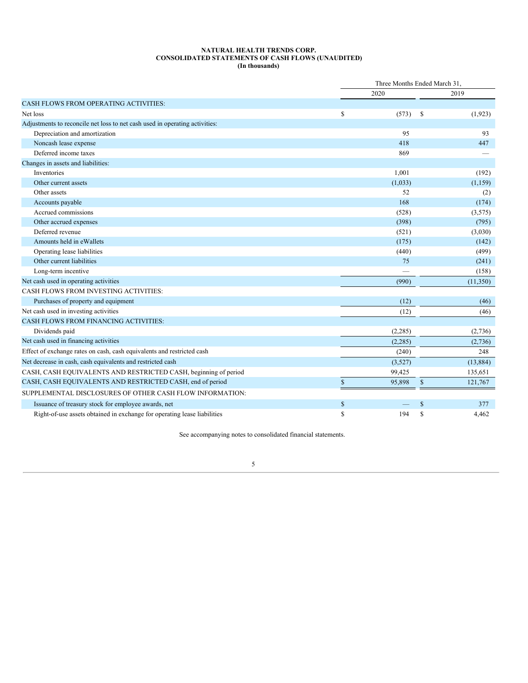#### **NATURAL HEALTH TRENDS CORP. CONSOLIDATED STATEMENTS OF CASH FLOWS (UNAUDITED) (In thousands)**

|                                                                             |              | Three Months Ended March 31, |              |          |  |  |  |
|-----------------------------------------------------------------------------|--------------|------------------------------|--------------|----------|--|--|--|
|                                                                             |              | 2020                         |              | 2019     |  |  |  |
| CASH FLOWS FROM OPERATING ACTIVITIES:                                       |              |                              |              |          |  |  |  |
| Net loss                                                                    | \$           | (573)                        | S            | (1,923)  |  |  |  |
| Adjustments to reconcile net loss to net cash used in operating activities: |              |                              |              |          |  |  |  |
| Depreciation and amortization                                               |              | 95                           |              | 93       |  |  |  |
| Noncash lease expense                                                       |              | 418                          |              | 447      |  |  |  |
| Deferred income taxes                                                       |              | 869                          |              |          |  |  |  |
| Changes in assets and liabilities:                                          |              |                              |              |          |  |  |  |
| Inventories                                                                 |              | 1.001                        |              | (192)    |  |  |  |
| Other current assets                                                        |              | (1,033)                      |              | (1, 159) |  |  |  |
| Other assets                                                                |              | 52                           |              | (2)      |  |  |  |
| Accounts payable                                                            |              | 168                          |              | (174)    |  |  |  |
| Accrued commissions                                                         |              | (528)                        |              | (3,575)  |  |  |  |
| Other accrued expenses                                                      |              | (398)                        |              | (795)    |  |  |  |
| Deferred revenue                                                            |              | (521)                        |              | (3,030)  |  |  |  |
| Amounts held in eWallets                                                    |              | (175)                        |              | (142)    |  |  |  |
| Operating lease liabilities                                                 |              | (440)                        |              | (499)    |  |  |  |
| Other current liabilities                                                   |              | 75                           |              | (241)    |  |  |  |
| Long-term incentive                                                         |              |                              |              | (158)    |  |  |  |
| Net cash used in operating activities                                       |              | (990)                        |              | (11,350) |  |  |  |
| CASH FLOWS FROM INVESTING ACTIVITIES:                                       |              |                              |              |          |  |  |  |
| Purchases of property and equipment                                         |              | (12)                         |              | (46)     |  |  |  |
| Net cash used in investing activities                                       |              | (12)                         |              | (46)     |  |  |  |
| CASH FLOWS FROM FINANCING ACTIVITIES:                                       |              |                              |              |          |  |  |  |
| Dividends paid                                                              |              | (2, 285)                     |              | (2,736)  |  |  |  |
| Net cash used in financing activities                                       |              | (2, 285)                     |              | (2,736)  |  |  |  |
| Effect of exchange rates on cash, cash equivalents and restricted cash      |              | (240)                        |              | 248      |  |  |  |
| Net decrease in cash, cash equivalents and restricted cash                  |              | (3,527)                      |              | (13,884) |  |  |  |
| CASH, CASH EQUIVALENTS AND RESTRICTED CASH, beginning of period             |              | 99,425                       |              | 135,651  |  |  |  |
| CASH, CASH EQUIVALENTS AND RESTRICTED CASH, end of period                   | <b>S</b>     | 95,898                       | $\mathbb{S}$ | 121,767  |  |  |  |
| SUPPLEMENTAL DISCLOSURES OF OTHER CASH FLOW INFORMATION:                    |              |                              |              |          |  |  |  |
| Issuance of treasury stock for employee awards, net                         | $\mathbb{S}$ |                              | $\mathbb{S}$ | 377      |  |  |  |
| Right-of-use assets obtained in exchange for operating lease liabilities    | S            | 194                          | $\mathbb{S}$ | 4.462    |  |  |  |

See accompanying notes to consolidated financial statements.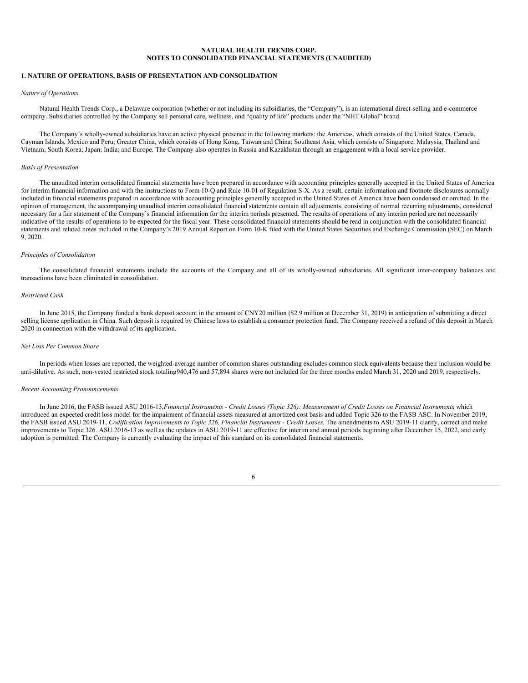### **NATURAL HEALTH TRENDS CORP. NOTES TO CONSOLIDATED FINANCIAL STATEMENTS (UNAUDITED)**

# **1. NATURE OF OPERATIONS, BASIS OF PRESENTATION AND CONSOLIDATION**

# *Nature of Operations*

Natural Health Trends Corp., a Delaware corporation (whether or not including its subsidiaries, the "Company"), is an international direct-selling and e-commerce company. Subsidiaries controlled by the Company sell personal care, wellness, and "quality of life" products under the "NHT Global" brand.

The Company's wholly-owned subsidiaries have an active physical presence in the following markets: the Americas, which consists of the United States, Canada, Cayman Islands, Mexico and Peru; Greater China, which consists of Hong Kong, Taiwan and China; Southeast Asia, which consists of Singapore, Malaysia, Thailand and Vietnam; South Korea; Japan; India; and Europe. The Company also operates in Russia and Kazakhstan through an engagement with a local service provider.

# *Basis of Presentation*

The unaudited interim consolidated financial statements have been prepared in accordance with accounting principles generally accepted in the United States of America for interim financial information and with the instructions to Form 10-Q and Rule 10-01 of Regulation S-X. As a result, certain information and footnote disclosures normally included in financial statements prepared in accordance with accounting principles generally accepted in the United States of America have been condensed or omitted. In the opinion of management, the accompanying unaudited interim consolidated financial statements contain all adjustments, consisting of normal recurring adjustments, considered necessary for a fair statement of the Company's financial information for the interim periods presented. The results of operations of any interim period are not necessarily indicative of the results of operations to be expected for the fiscal year. These consolidated financial statements should be read in conjunction with the consolidated financial statements and related notes included in the Company's 2019 Annual Report on Form 10-K filed with the United States Securities and Exchange Commission (SEC) on March 9, 2020.

# *Principles of Consolidation*

The consolidated financial statements include the accounts of the Company and all of its wholly-owned subsidiaries. All significant inter-company balances and transactions have been eliminated in consolidation.

#### *Restricted Cash*

In June 2015, the Company funded a bank deposit account in the amount of CNY20 million (\$2.9 million at December 31, 2019) in anticipation of submitting a direct selling license application in China. Such deposit is required by Chinese laws to establish a consumer protection fund. The Company received a refund of this deposit in March 2020 in connection with the withdrawal of its application.

#### *Net Loss Per Common Share*

In periods when losses are reported, the weighted-average number of common shares outstanding excludes common stock equivalents because their inclusion would be anti-dilutive. As such, non-vested restricted stock totaling940,476 and 57,894 shares were not included for the three months ended March 31, 2020 and 2019, respectively.

### *Recent Accounting Pronouncements*

In June 2016, the FASB issued ASU 2016-13, Financial Instruments - Credit Losses (Topic 326): Measurement of Credit Losses on Financial Instruments which introduced an expected credit loss model for the impairment of financial assets measured at amortized cost basis and added Topic 326 to the FASB ASC. In November 2019, the FASB issued ASU 2019-11, *Codification Improvements to Topic 326, Financial Instruments - Credit Losses*. The amendments to ASU 2019-11 clarify, correct and make improvements to Topic 326. ASU 2016-13 as well as the updates in ASU 2019-11 are effective for interim and annual periods beginning after December 15, 2022, and early adoption is permitted. The Company is currently evaluating the impact of this standard on its consolidated financial statements.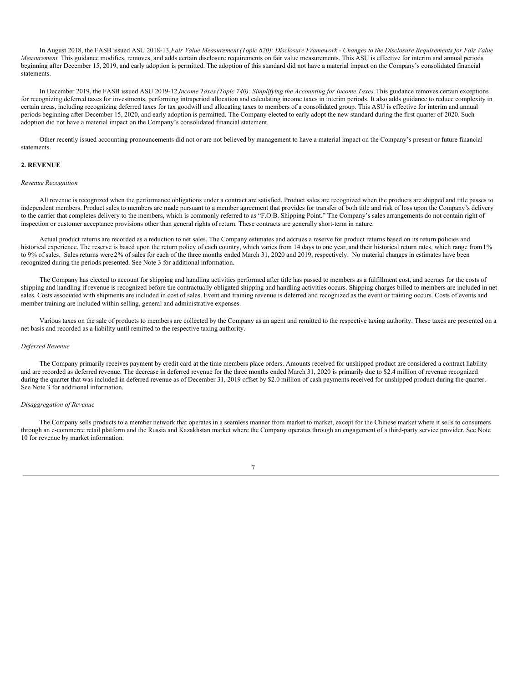In August 2018, the FASB issued ASU 2018-13, Fair Value Measurement (Topic 820): Disclosure Framework - Changes to the Disclosure Requirements for Fair Value *Measurement.* This guidance modifies, removes, and adds certain disclosure requirements on fair value measurements. This ASU is effective for interim and annual periods beginning after December 15, 2019, and early adoption is permitted. The adoption of this standard did not have a material impact on the Company's consolidated financial statements.

In December 2019, the FASB issued ASU 2019-12,*Income Taxes(Topic 740): Simplifying the Accounting for Income Taxes.*This guidance removes certain exceptions for recognizing deferred taxes for investments, performing intraperiod allocation and calculating income taxes in interim periods. It also adds guidance to reduce complexity in certain areas, including recognizing deferred taxes for tax goodwill and allocating taxes to members of a consolidated group. This ASU is effective for interim and annual periods beginning after December 15, 2020, and early adoption is permitted. The Company elected to early adopt the new standard during the first quarter of 2020. Such adoption did not have a material impact on the Company's consolidated financial statement.

Other recently issued accounting pronouncements did not or are not believed by management to have a material impact on the Company's present or future financial statements.

#### **2. REVENUE**

#### *Revenue Recognition*

All revenue is recognized when the performance obligations under a contract are satisfied. Product sales are recognized when the products are shipped and title passes to independent members. Product sales to members are made pursuant to a member agreement that provides for transfer of both title and risk of loss upon the Company's delivery to the carrier that completes delivery to the members, which is commonly referred to as "F.O.B. Shipping Point." The Company's sales arrangements do not contain right of inspection or customer acceptance provisions other than general rights of return. These contracts are generally short-term in nature.

Actual product returns are recorded as a reduction to net sales. The Company estimates and accrues a reserve for product returns based on its return policies and historical experience. The reserve is based upon the return policy of each country, which varies from 14 days to one year, and their historical return rates, which range from 1% to 9% of sales. Sales returns were 2% of sales for each of the three months ended March 31, 2020 and 2019, respectively. No material changes in estimates have been recognized during the periods presented. See Note 3 for additional information.

The Company has elected to account for shipping and handling activities performed after title has passed to members as a fulfillment cost, and accrues for the costs of shipping and handling if revenue is recognized before the contractually obligated shipping and handling activities occurs. Shipping charges billed to members are included in net sales. Costs associated with shipments are included in cost of sales. Event and training revenue is deferred and recognized as the event or training occurs. Costs of events and member training are included within selling, general and administrative expenses.

Various taxes on the sale of products to members are collected by the Company as an agent and remitted to the respective taxing authority. These taxes are presented on a net basis and recorded as a liability until remitted to the respective taxing authority.

#### *Deferred Revenue*

The Company primarily receives payment by credit card at the time members place orders. Amounts received for unshipped product are considered a contract liability and are recorded as deferred revenue. The decrease in deferred revenue for the three months ended March 31, 2020 is primarily due to \$2.4 million of revenue recognized during the quarter that was included in deferred revenue as of December 31, 2019 offset by \$2.0 million of cash payments received for unshipped product during the quarter. See Note 3 for additional information.

#### *Disaggregation of Revenue*

The Company sells products to a member network that operates in a seamless manner from market to market, except for the Chinese market where it sells to consumers through an e-commerce retail platform and the Russia and Kazakhstan market where the Company operates through an engagement of a third-party service provider. See Note 10 for revenue by market information.

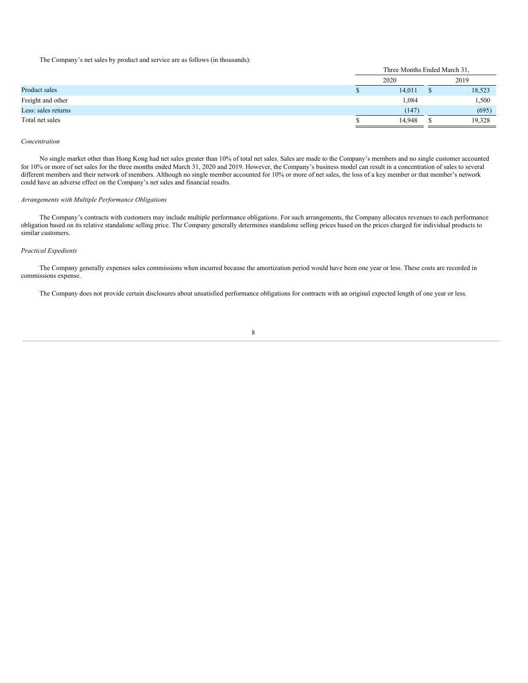The Company's net sales by product and service are as follows (in thousands):

|                     |  | Three Months Ended March 31, |  |        |
|---------------------|--|------------------------------|--|--------|
|                     |  | 2020                         |  | 2019   |
| Product sales       |  | 14,011                       |  | 18,523 |
| Freight and other   |  | 1,084                        |  | 1,500  |
| Less: sales returns |  | (147)                        |  | (695)  |
| Total net sales     |  | 14.948                       |  | 19,328 |
|                     |  |                              |  |        |

# *Concentration*

No single market other than Hong Kong had net sales greater than 10% of total net sales. Sales are made to the Company's members and no single customer accounted for 10% or more of net sales for the three months ended March 31, 2020 and 2019. However, the Company's business model can result in a concentration of sales to several different members and their network of members. Although no single member accounted for 10% or more of net sales, the loss of a key member or that member's network could have an adverse effect on the Company's net sales and financial results.

# *Arrangements with Multiple Performance Obligations*

The Company's contracts with customers may include multiple performance obligations. For such arrangements, the Company allocates revenues to each performance obligation based on its relative standalone selling price. The Company generally determines standalone selling prices based on the prices charged for individual products to similar customers.

# *Practical Expedients*

The Company generally expenses sales commissions when incurred because the amortization period would have been one year or less. These costs are recorded in commissions expense.

The Company does not provide certain disclosures about unsatisfied performance obligations for contracts with an original expected length of one year or less.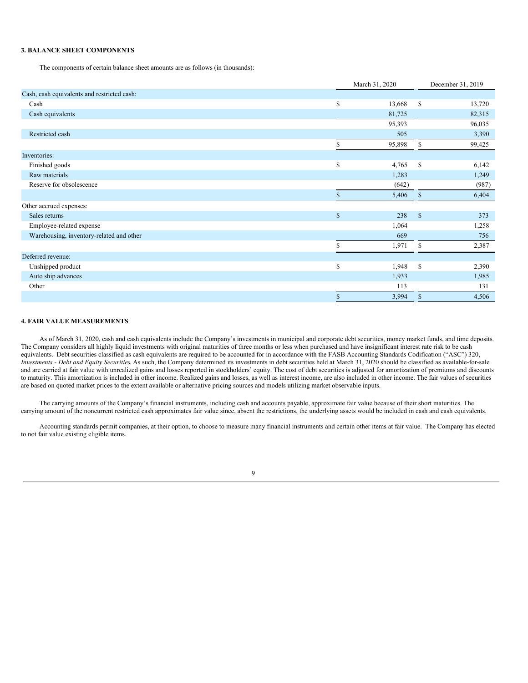# **3. BALANCE SHEET COMPONENTS**

The components of certain balance sheet amounts are as follows (in thousands):

|                                             | March 31, 2020 |              | December 31, 2019 |  |
|---------------------------------------------|----------------|--------------|-------------------|--|
| Cash, cash equivalents and restricted cash: |                |              |                   |  |
| Cash                                        | \$<br>13,668   | \$           | 13,720            |  |
| Cash equivalents                            | 81,725         |              | 82,315            |  |
|                                             | 95,393         |              | 96,035            |  |
| Restricted cash                             | 505            |              | 3,390             |  |
|                                             | 95,898         | \$           | 99,425            |  |
| Inventories:                                |                |              |                   |  |
| Finished goods                              | \$<br>4,765    | \$           | 6,142             |  |
| Raw materials                               | 1,283          |              | 1,249             |  |
| Reserve for obsolescence                    | (642)          |              | (987)             |  |
|                                             | \$<br>5,406    | \$           | 6,404             |  |
| Other accrued expenses:                     |                |              |                   |  |
| Sales returns                               | \$<br>238      | $\mathbb{S}$ | 373               |  |
| Employee-related expense                    | 1,064          |              | 1,258             |  |
| Warehousing, inventory-related and other    | 669            |              | 756               |  |
|                                             | \$<br>1,971    | \$           | 2,387             |  |
| Deferred revenue:                           |                |              |                   |  |
| Unshipped product                           | \$<br>1,948    | $\mathbb{S}$ | 2,390             |  |
| Auto ship advances                          | 1,933          |              | 1,985             |  |
| Other                                       | 113            |              | 131               |  |
|                                             | \$<br>3,994    | \$           | 4,506             |  |

# **4. FAIR VALUE MEASUREMENTS**

As of March 31, 2020, cash and cash equivalents include the Company's investments in municipal and corporate debt securities, money market funds, and time deposits. The Company considers all highly liquid investments with original maturities of three months or less when purchased and have insignificant interest rate risk to be cash equivalents. Debt securities classified as cash equivalents are required to be accounted for in accordance with the FASB Accounting Standards Codification ("ASC") 320, *Investments - Debt and Equity Securities*. As such, the Company determined its investments in debt securities held at March 31, 2020 should be classified as available-for-sale and are carried at fair value with unrealized gains and losses reported in stockholders' equity. The cost of debt securities is adjusted for amortization of premiums and discounts to maturity. This amortization is included in other income. Realized gains and losses, as well as interest income, are also included in other income. The fair values of securities are based on quoted market prices to the extent available or alternative pricing sources and models utilizing market observable inputs.

The carrying amounts of the Company's financial instruments, including cash and accounts payable, approximate fair value because of their short maturities. The carrying amount of the noncurrent restricted cash approximates fair value since, absent the restrictions, the underlying assets would be included in cash and cash equivalents.

Accounting standards permit companies, at their option, to choose to measure many financial instruments and certain other items at fair value. The Company has elected to not fair value existing eligible items.

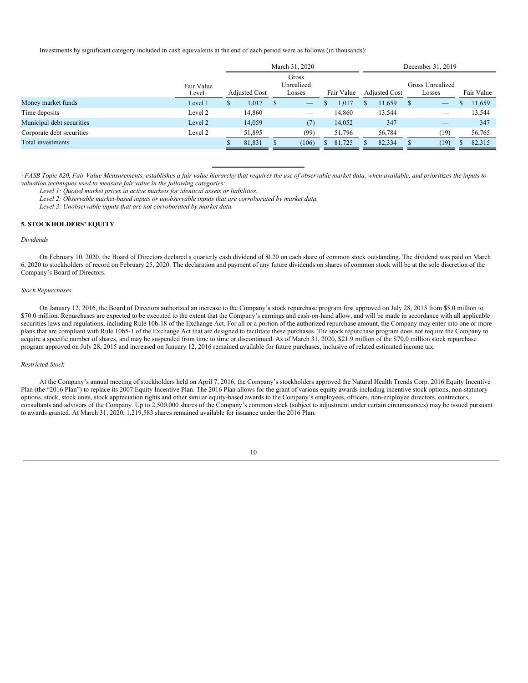Investments by significant category included in cash equivalents at the end of each period were as follows (in thousands):

|                           |                                  |   |        |                                                       | March 31, 2020    |    |            | December 31, 2019 |                      |                            |                                |   |            |  |
|---------------------------|----------------------------------|---|--------|-------------------------------------------------------|-------------------|----|------------|-------------------|----------------------|----------------------------|--------------------------------|---|------------|--|
|                           | Fair Value<br>Level <sup>1</sup> |   |        | Gross<br>Unrealized<br><b>Adjusted Cost</b><br>Losses |                   |    | Fair Value |                   | <b>Adjusted Cost</b> | Gross Unrealized<br>Losses |                                |   | Fair Value |  |
| Money market funds        | Level 1                          | ъ | 1,017  | <sup>8</sup>                                          | $\qquad \qquad -$ |    | 1,017      | ъ                 | 11,659               |                            | $\qquad \qquad$                |   | 11,659     |  |
| Time deposits             | Level 2                          |   | 14,860 |                                                       |                   |    | 14.860     |                   | 13,544               |                            | $\overbrace{\hspace{25mm}}^{}$ |   | 13,544     |  |
| Municipal debt securities | Level 2                          |   | 14,059 |                                                       | (7)               |    | 14,052     |                   | 347                  |                            |                                |   | 347        |  |
| Corporate debt securities | Level 2                          |   | 51.895 |                                                       | (99)              |    | 51,796     |                   | 56,784               |                            | (19)                           |   | 56,765     |  |
| Total investments         |                                  |   | 81,831 | S                                                     | (106)             | S. | 81,725     |                   | 82,334               |                            | (19)                           | S | 82,315     |  |

<sup>1</sup> FASB Topic 820, Fair Value Measurements, establishes a fair value hierarchy that requires the use of observable market data, when available, and prioritizes the inputs to *valuation techniques used to measure fair value in the following categories:*

*Level 1: Quoted market prices in active markets for identical assets or liabilities.*

*Level 2: Observable market-based inputs or unobservable inputs that are corroborated by market data.*

*Level 3: Unobservable inputs that are not corroborated by market data.*

### **5. STOCKHOLDERS' EQUITY**

# *Dividends*

On February 10, 2020, the Board of Directors declared a quarterly cash dividend of \$0.20 on each share of common stock outstanding. The dividend was paid on March 6, 2020 to stockholders of record on February 25, 2020. The declaration and payment of any future dividends on shares of common stock will be at the sole discretion of the Company's Board of Directors.

#### *Stock Repurchases*

On January 12, 2016, the Board of Directors authorized an increase to the Company's stock repurchase program first approved on July 28, 2015 from 1\$5.0 million to \$70.0 million. Repurchases are expected to be executed to the extent that the Company's earnings and cash-on-hand allow, and will be made in accordance with all applicable securities laws and regulations, including Rule 10b-18 of the Exchange Act. For all or a portion of the authorized repurchase amount, the Company may enter into one or more plans that are compliant with Rule 10b5-1 of the Exchange Act that are designed to facilitate these purchases. The stock repurchase program does not require the Company to acquire a specific number of shares, and may be suspended from time to time or discontinued. As of March 31, 2020, \$21.9 million of the \$70.0 million stock repurchase program approved on July 28, 2015 and increased on January 12, 2016 remained available for future purchases, inclusive of related estimated income tax.

# *Restricted Stock*

At the Company's annual meeting of stockholders held on April 7, 2016, the Company's stockholders approved the Natural Health Trends Corp. 2016 Equity Incentive Plan (the "2016 Plan") to replace its 2007 Equity Incentive Plan. The 2016 Plan allows for the grant of various equity awards including incentive stock options, non-statutory options, stock, stock units, stock appreciation rights and other similar equity-based awards to the Company's employees, officers, non-employee directors, contractors, consultants and advisors of the Company. Up to 2,500,000 shares of the Company's common stock (subject to adjustment under certain circumstances) may be issued pursuant to awards granted. At March 31, 2020, 1,219,583 shares remained available for issuance under the 2016 Plan.

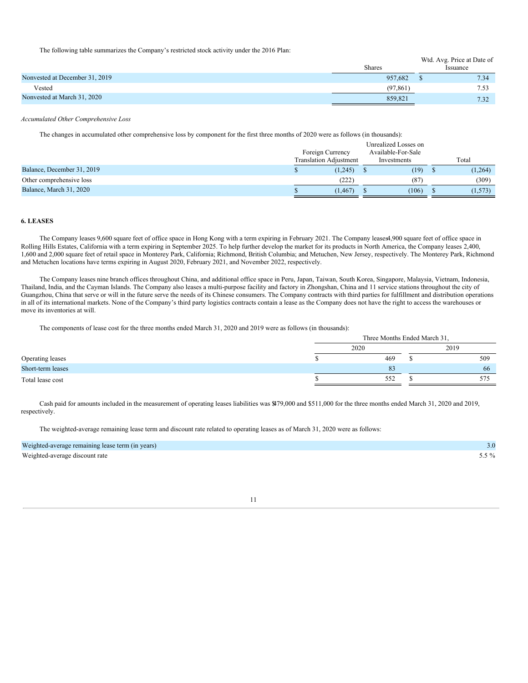The following table summarizes the Company's restricted stock activity under the 2016 Plan:

|                                |               | Wtd. Avg. Price at Date of |  |
|--------------------------------|---------------|----------------------------|--|
|                                | <b>Shares</b> | Issuance                   |  |
| Nonvested at December 31, 2019 | 957,682       | 7.34                       |  |
| Vested                         | (97, 861)     | 7.53                       |  |
| Nonvested at March 31, 2020    | 859,821       | 7.32                       |  |

# *Accumulated Other Comprehensive Loss*

The changes in accumulated other comprehensive loss by component for the first three months of 2020 were as follows (in thousands):

|                            |                               | Unrealized Losses on |         |
|----------------------------|-------------------------------|----------------------|---------|
|                            | Foreign Currency              | Available-For-Sale   |         |
|                            | <b>Translation Adiustment</b> | Investments          | Total   |
| Balance, December 31, 2019 | (1,245)                       | (19)                 | (1,264) |
| Other comprehensive loss   | (222)                         | (87)                 | (309)   |
| Balance, March 31, 2020    | (1, 467)                      | (106)                | (1,573) |

# **6. LEASES**

The Company leases 9,600 square feet of office space in Hong Kong with a term expiring in February 2021. The Company leases4,900 square feet of office space in Rolling Hills Estates, California with a term expiring in September 2025. To help further develop the market for its products in North America, the Company leases 2.400, 1,600 and 2,000 square feet of retail space in Monterey Park, California; Richmond, British Columbia; and Metuchen, New Jersey, respectively. The Monterey Park, Richmond and Metuchen locations have terms expiring in August 2020, February 2021, and November 2022, respectively.

The Company leases nine branch offices throughout China, and additional office space in Peru, Japan, Taiwan, South Korea, Singapore, Malaysia, Vietnam, Indonesia, Thailand, India, and the Cayman Islands. The Company also leases a multi-purpose facility and factory in Zhongshan, China and 11 service stations throughout the city of Guangzhou, China that serve or will in the future serve the needs of its Chinese consumers. The Company contracts with third parties for fulfillment and distribution operations in all of its international markets. None of the Company's third party logistics contracts contain a lease as the Company does not have the right to access the warehouses or move its inventories at will.

The components of lease cost for the three months ended March 31, 2020 and 2019 were as follows (in thousands):

|                   | Three Months Ended March 31, |  |      |  |
|-------------------|------------------------------|--|------|--|
|                   | 2020                         |  | 2019 |  |
| Operating leases  | 469                          |  | 509  |  |
| Short-term leases | 83                           |  | 66   |  |
| Total lease cost  | 552                          |  | 575  |  |

 $T_{\rm eff}$  Theorem March 31,  $\sigma$ 

Cash paid for amounts included in the measurement of operating leases liabilities was \$479,000 and \$511,000 for the three months ended March 31, 2020 and 2019, respectively.

The weighted-average remaining lease term and discount rate related to operating leases as of March 31, 2020 were as follows:

| Weighted-average remaining lease term (in years) |         |
|--------------------------------------------------|---------|
| Weighted-average discount rate                   | $5.5\%$ |

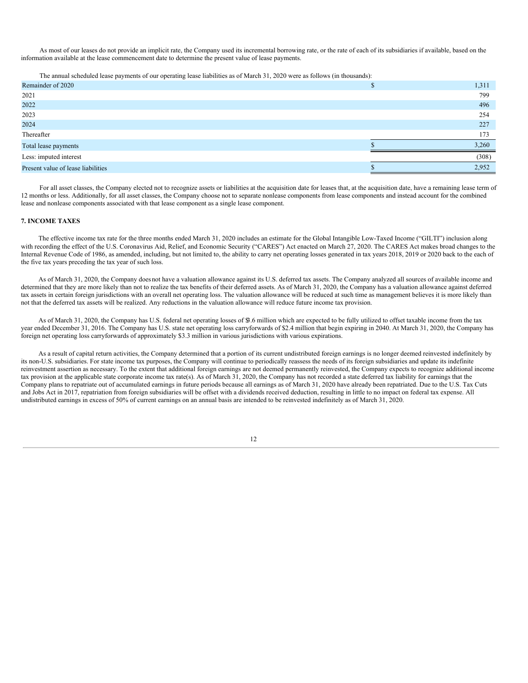As most of our leases do not provide an implicit rate, the Company used its incremental borrowing rate, or the rate of each of its subsidiaries if available, based on the information available at the lease commencement date to determine the present value of lease payments.

The annual scheduled lease payments of our operating lease liabilities as of March 31, 2020 were as follows (in thousands):

| . .                                |       |
|------------------------------------|-------|
| Remainder of 2020                  | 1,311 |
| 2021                               | 799   |
| 2022                               | 496   |
| 2023                               | 254   |
| 2024                               | 227   |
| Thereafter                         | 173   |
| Total lease payments               | 3,260 |
| Less: imputed interest             | (308) |
| Present value of lease liabilities | 2,952 |
|                                    |       |

For all asset classes, the Company elected not to recognize assets or liabilities at the acquisition date for leases that, at the acquisition date, have a remaining lease term of 12 months or less. Additionally, for all asset classes, the Company choose not to separate nonlease components from lease components and instead account for the combined lease and nonlease components associated with that lease component as a single lease component.

# **7. INCOME TAXES**

The effective income tax rate for the three months ended March 31, 2020 includes an estimate for the Global Intangible Low-Taxed Income ("GILTI") inclusion along with recording the effect of the U.S. Coronavirus Aid, Relief, and Economic Security ("CARES") Act enacted on March 27, 2020. The CARES Act makes broad changes to the Internal Revenue Code of 1986, as amended, including, but not limited to, the ability to carry net operating losses generated in tax years 2018, 2019 or 2020 back to the each of the five tax years preceding the tax year of such loss.

As of March 31, 2020, the Company doesnot have a valuation allowance against its U.S. deferred tax assets. The Company analyzed all sources of available income and determined that they are more likely than not to realize the tax benefits of their deferred assets. As of March 31, 2020, the Company has a valuation allowance against deferred tax assets in certain foreign jurisdictions with an overall net operating loss. The valuation allowance will be reduced at such time as management believes it is more likely than not that the deferred tax assets will be realized. Any reductions in the valuation allowance will reduce future income tax provision.

As of March 31, 2020, the Company has U.S. federal net operating losses of \$3.6 million which are expected to be fully utilized to offset taxable income from the tax year ended December 31, 2016. The Company has U.S. state net operating loss carryforwards of \$2.4 million that begin expiring in 2040. At March 31, 2020, the Company has foreign net operating loss carryforwards of approximately \$3.3 million in various jurisdictions with various expirations.

As a result of capital return activities, the Company determined that a portion of its current undistributed foreign earnings is no longer deemed reinvested indefinitely by its non-U.S. subsidiaries. For state income tax purposes, the Company will continue to periodically reassess the needs of its foreign subsidiaries and update its indefinite reinvestment assertion as necessary. To the extent that additional foreign earnings are not deemed permanently reinvested, the Company expects to recognize additional income tax provision at the applicable state corporate income tax rate(s). As of March 31, 2020, the Company has not recorded a state deferred tax liability for earnings that the Company plans to repatriate out of accumulated earnings in future periods because all earnings as of March 31, 2020 have already been repatriated. Due to the U.S. Tax Cuts and Jobs Act in 2017, repatriation from foreign subsidiaries will be offset with a dividends received deduction, resulting in little to no impact on federal tax expense. All undistributed earnings in excess of 50% of current earnings on an annual basis are intended to be reinvested indefinitely as of March 31, 2020.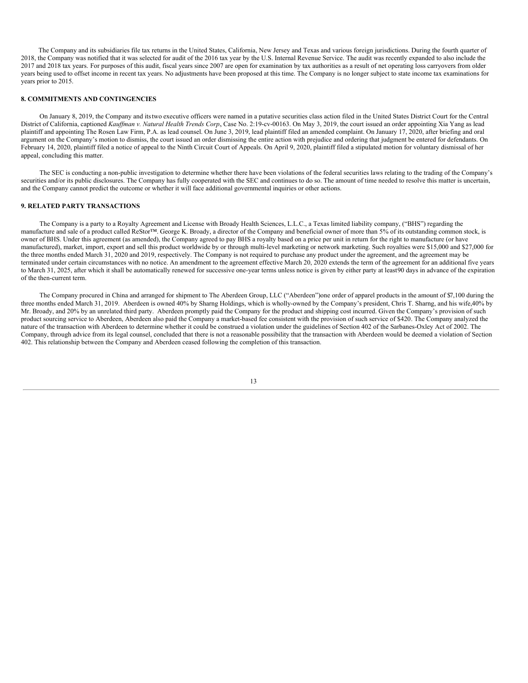The Company and its subsidiaries file tax returns in the United States, California, New Jersey and Texas and various foreign jurisdictions. During the fourth quarter of 2018, the Company was notified that it was selected for audit of the 2016 tax year by the U.S. Internal Revenue Service. The audit was recently expanded to also include the 2017 and 2018 tax years. For purposes of this audit, fiscal years since 2007 are open for examination by tax authorities as a result of net operating loss carryovers from older years being used to offset income in recent tax years. No adjustments have been proposed at this time. The Company is no longer subject to state income tax examinations for years prior to 2015.

# **8. COMMITMENTS AND CONTINGENCIES**

On January 8, 2019, the Company and itstwo executive officers were named in a putative securities class action filed in the United States District Court for the Central District of California, captioned *Kauffman v. Natural Health Trends Corp.*, Case No. 2:19-cv-00163. On May 3, 2019, the court issued an order appointing Xia Yang as lead plaintiff and appointing The Rosen Law Firm, P.A. as lead counsel. On June 3, 2019, lead plaintiff filed an amended complaint. On January 17, 2020, after briefing and oral argument on the Company's motion to dismiss, the court issued an order dismissing the entire action with prejudice and ordering that judgment be entered for defendants. On February 14, 2020, plaintiff filed a notice of appeal to the Ninth Circuit Court of Appeals. On April 9, 2020, plaintiff filed a stipulated motion for voluntary dismissal of her appeal, concluding this matter.

The SEC is conducting a non-public investigation to determine whether there have been violations of the federal securities laws relating to the trading of the Company's securities and/or its public disclosures. The Company has fully cooperated with the SEC and continues to do so. The amount of time needed to resolve this matter is uncertain, and the Company cannot predict the outcome or whether it will face additional governmental inquiries or other actions.

#### **9. RELATED PARTY TRANSACTIONS**

The Company is a party to a Royalty Agreement and License with Broady Health Sciences, L.L.C., a Texas limited liability company, ("BHS") regarding the manufacture and sale of a product called ReStor™. George K. Broady, a director of the Company and beneficial owner of more than 5% of its outstanding common stock, is owner of BHS. Under this agreement (as amended), the Company agreed to pay BHS a royalty based on a price per unit in return for the right to manufacture (or have manufactured), market, import, export and sell this product worldwide by or through multi-level marketing or network marketing. Such royalties were \$15,000 and \$27,000 for the three months ended March 31, 2020 and 2019, respectively. The Company is not required to purchase any product under the agreement, and the agreement may be terminated under certain circumstances with no notice. An amendment to the agreement effective March 20, 2020 extends the term of the agreement for an additional five years to March 31, 2025, after which it shall be automatically renewed for successive one-year terms unless notice is given by either party at least90 days in advance of the expiration of the then-current term.

The Company procured in China and arranged for shipment to The Aberdeen Group, LLC ("Aberdeen")one order of apparel products in the amount of \$7,100 during the three months ended March 31, 2019. Aberdeen is owned 40% by Sharng Holdings, which is wholly-owned by the Company's president, Chris T. Sharng, and his wife, 40% by Mr. Broady, and 20% by an unrelated third party. Aberdeen promptly paid the Company for the product and shipping cost incurred. Given the Company's provision of such product sourcing service to Aberdeen, Aberdeen also paid the Company a market-based fee consistent with the provision of such service of \$420. The Company analyzed the nature of the transaction with Aberdeen to determine whether it could be construed a violation under the guidelines of Section 402 of the Sarbanes-Oxley Act of 2002. The Company, through advice from its legal counsel, concluded that there is not a reasonable possibility that the transaction with Aberdeen would be deemed a violation of Section 402. This relationship between the Company and Aberdeen ceased following the completion of this transaction.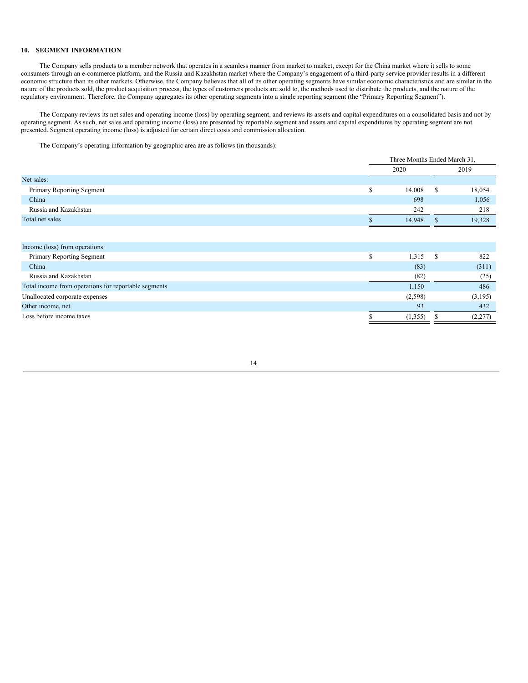# **10. SEGMENT INFORMATION**

The Company sells products to a member network that operates in a seamless manner from market to market, except for the China market where it sells to some consumers through an e-commerce platform, and the Russia and Kazakhstan market where the Company's engagement of a third-party service provider results in a different economic structure than its other markets. Otherwise, the Company believes that all of its other operating segments have similar economic characteristics and are similar in the nature of the products sold, the product acquisition process, the types of customers products are sold to, the methods used to distribute the products, and the nature of the regulatory environment. Therefore, the Company aggregates its other operating segments into a single reporting segment (the "Primary Reporting Segment").

The Company reviews its net sales and operating income (loss) by operating segment, and reviews its assets and capital expenditures on a consolidated basis and not by operating segment. As such, net sales and operating income (loss) are presented by reportable segment and assets and capital expenditures by operating segment are not presented. Segment operating income (loss) is adjusted for certain direct costs and commission allocation.

The Company's operating information by geographic area are as follows (in thousands):

|                                                      |                  | Three Months Ended March 31, |   |        |
|------------------------------------------------------|------------------|------------------------------|---|--------|
|                                                      |                  | 2020                         |   | 2019   |
| Net sales:                                           |                  |                              |   |        |
| Primary Reporting Segment                            | \$               | 14,008                       | S | 18,054 |
| China                                                |                  | 698                          |   | 1,056  |
| Russia and Kazakhstan                                |                  | 242                          |   | 218    |
| Total net sales                                      |                  | 14,948                       |   | 19,328 |
|                                                      |                  |                              |   |        |
| Income (loss) from operations:                       |                  |                              |   |        |
| Primary Reporting Segment                            | $\triangle$<br>ъ | 1,315                        | S | 822    |
| China                                                |                  | (83)                         |   | (311)  |
| Russia and Kazakhstan                                |                  | (82)                         |   | (25)   |
| Total income from operations for reportable segments |                  | 1,150                        |   | 486    |

14

Unallocated corporate expenses (3,195) (3,195) Other income, net 432 Loss before income taxes  $\qquad \qquad$  (1,355) \$ (2,277)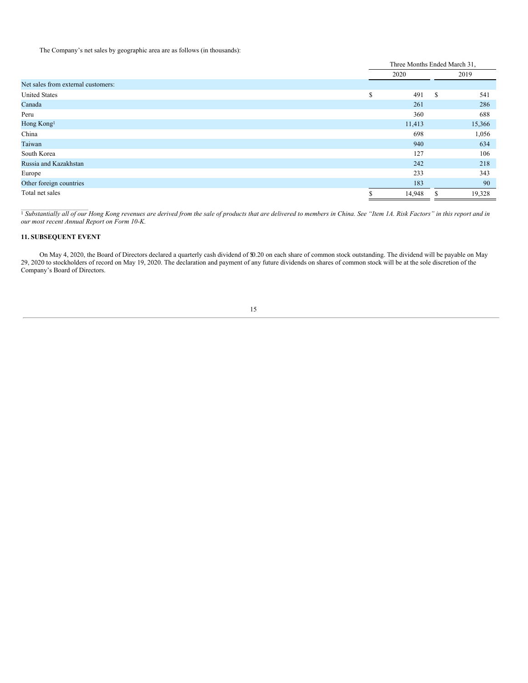The Company's net sales by geographic area are as follows (in thousands):

|                                    | Three Months Ended March 31, |        |    |        |
|------------------------------------|------------------------------|--------|----|--------|
|                                    |                              | 2020   |    | 2019   |
| Net sales from external customers: |                              |        |    |        |
| <b>United States</b>               | \$.                          | 491    | S  | 541    |
| Canada                             |                              | 261    |    | 286    |
| Peru                               |                              | 360    |    | 688    |
| Hong Kong <sup>1</sup>             |                              | 11,413 |    | 15,366 |
| China                              |                              | 698    |    | 1,056  |
| Taiwan                             |                              | 940    |    | 634    |
| South Korea                        |                              | 127    |    | 106    |
| Russia and Kazakhstan              |                              | 242    |    | 218    |
| Europe                             |                              | 233    |    | 343    |
| Other foreign countries            |                              | 183    |    | 90     |
| Total net sales                    |                              | 14,948 | \$ | 19,328 |

 $\overline{1}$  Substantially all of our Hong Kong revenues are derived from the sale of products that are delivered to members in China. See "Item 1A. Risk Factors" in this report and in *our most recent Annual Report on Form 10-K.*

# **11. SUBSEQUENT EVENT**

<span id="page-19-0"></span>On May 4, 2020, the Board of Directors declared a quarterly cash dividend of \$0.20 on each share of common stock outstanding. The dividend will be payable on May 29, 2020 to stockholders of record on May 19, 2020. The declaration and payment of any future dividends on shares of common stock will be at the sole discretion of the Company's Board of Directors.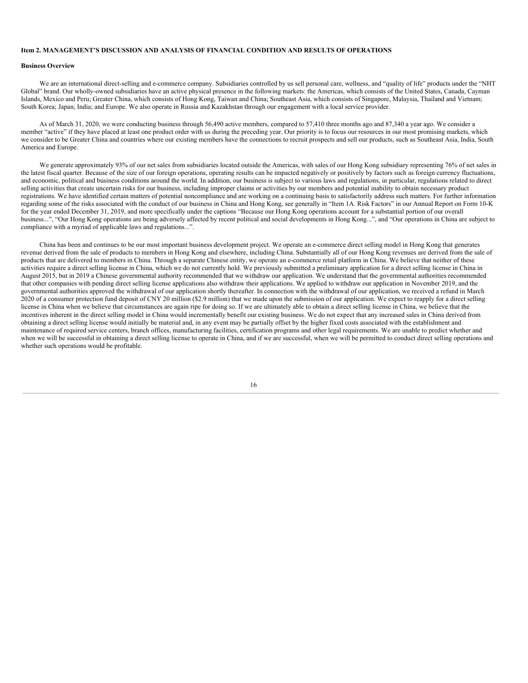# **Item 2. MANAGEMENT'S DISCUSSION AND ANALYSIS OF FINANCIAL CONDITION AND RESULTS OF OPERATIONS**

#### **Business Overview**

We are an international direct-selling and e-commerce company. Subsidiaries controlled by us sell personal care, wellness, and "quality of life" products under the "NHT Global" brand. Our wholly-owned subsidiaries have an active physical presence in the following markets: the Americas, which consists of the United States, Canada, Cayman Islands, Mexico and Peru; Greater China, which consists of Hong Kong, Taiwan and China; Southeast Asia, which consists of Singapore, Malaysia, Thailand and Vietnam; South Korea; Japan; India; and Europe. We also operate in Russia and Kazakhstan through our engagement with a local service provider.

As of March 31, 2020, we were conducting business through 56,490 active members, compared to 57,410 three months ago and 87,340 a year ago. We consider a member "active" if they have placed at least one product order with us during the preceding year. Our priority is to focus our resources in our most promising markets, which we consider to be Greater China and countries where our existing members have the connections to recruit prospects and sell our products, such as Southeast Asia, India, South America and Europe.

We generate approximately 93% of our net sales from subsidiaries located outside the Americas, with sales of our Hong Kong subsidiary representing 76% of net sales in the latest fiscal quarter. Because of the size of our foreign operations, operating results can be impacted negatively or positively by factors such as foreign currency fluctuations, and economic, political and business conditions around the world. In addition, our business is subject to various laws and regulations, in particular, regulations related to direct selling activities that create uncertain risks for our business, including improper claims or activities by our members and potential inability to obtain necessary product registrations. We have identified certain matters of potential noncompliance and are working on a continuing basis to satisfactorily address such matters. For further information regarding some of the risks associated with the conduct of our business in China and Hong Kong, see generally in "Item 1A. Risk Factors" in our Annual Report on Form 10-K for the year ended December 31, 2019, and more specifically under the captions "Because our Hong Kong operations account for a substantial portion of our overall business...", "Our Hong Kong operations are being adversely affected by recent political and social developments in Hong Kong...", and "Our operations in China are subject to compliance with a myriad of applicable laws and regulations...".

China has been and continues to be our most important business development project. We operate an e-commerce direct selling model in Hong Kong that generates revenue derived from the sale of products to members in Hong Kong and elsewhere, including China. Substantially all of our Hong Kong revenues are derived from the sale of products that are delivered to members in China. Through a separate Chinese entity, we operate an e-commerce retail platform in China. We believe that neither of these activities require a direct selling license in China, which we do not currently hold. We previously submitted a preliminary application for a direct selling license in China in August 2015, but in 2019 a Chinese governmental authority recommended that we withdraw our application. We understand that the governmental authorities recommended that other companies with pending direct selling license applications also withdraw their applications. We applied to withdraw our application in November 2019, and the governmental authorities approved the withdrawal of our application shortly thereafter. In connection with the withdrawal of our application, we received a refund in March 2020 of a consumer protection fund deposit of CNY 20 million (\$2.9 million) that we made upon the submission of our application. We expect to reapply for a direct selling license in China when we believe that circumstances are again ripe for doing so. If we are ultimately able to obtain a direct selling license in China, we believe that the incentives inherent in the direct selling model in China would incrementally benefit our existing business. We do not expect that any increased sales in China derived from obtaining a direct selling license would initially be material and, in any event may be partially offset by the higher fixed costs associated with the establishment and maintenance of required service centers, branch offices, manufacturing facilities, certification programs and other legal requirements. We are unable to predict whether and when we will be successful in obtaining a direct selling license to operate in China, and if we are successful, when we will be permitted to conduct direct selling operations and whether such operations would be profitable.

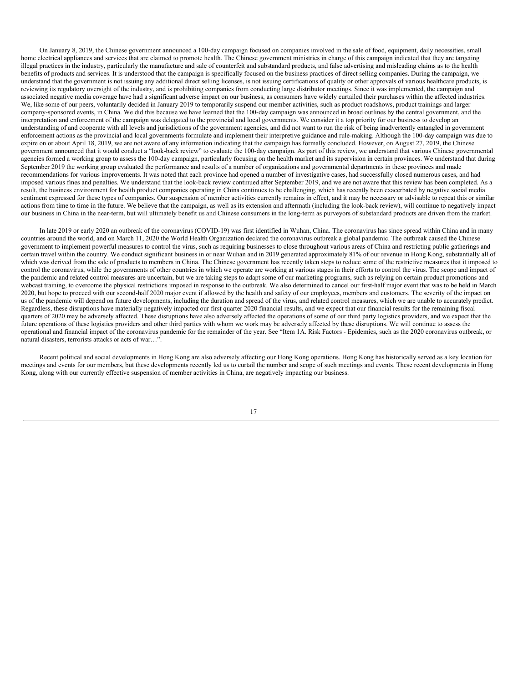On January 8, 2019, the Chinese government announced a 100-day campaign focused on companies involved in the sale of food, equipment, daily necessities, small home electrical appliances and services that are claimed to promote health. The Chinese government ministries in charge of this campaign indicated that they are targeting illegal practices in the industry, particularly the manufacture and sale of counterfeit and substandard products, and false advertising and misleading claims as to the health benefits of products and services. It is understood that the campaign is specifically focused on the business practices of direct selling companies. During the campaign, we understand that the government is not issuing any additional direct selling licenses, is not issuing certifications of quality or other approvals of various healthcare products, is reviewing its regulatory oversight of the industry, and is prohibiting companies from conducting large distributor meetings. Since it was implemented, the campaign and associated negative media coverage have had a significant adverse impact on our business, as consumers have widely curtailed their purchases within the affected industries. We, like some of our peers, voluntarily decided in January 2019 to temporarily suspend our member activities, such as product roadshows, product trainings and larger company-sponsored events, in China. We did this because we have learned that the 100-day campaign was announced in broad outlines by the central government, and the interpretation and enforcement of the campaign was delegated to the provincial and local governments. We consider it a top priority for our business to develop an understanding of and cooperate with all levels and jurisdictions of the government agencies, and did not want to run the risk of being inadvertently entangled in government enforcement actions as the provincial and local governments formulate and implement their interpretive guidance and rule-making. Although the 100-day campaign was due to expire on or about April 18, 2019, we are not aware of any information indicating that the campaign has formally concluded. However, on August 27, 2019, the Chinese government announced that it would conduct a "look-back review" to evaluate the 100-day campaign. As part of this review, we understand that various Chinese governmental agencies formed a working group to assess the 100-day campaign, particularly focusing on the health market and its supervision in certain provinces. We understand that during September 2019 the working group evaluated the performance and results of a number of organizations and governmental departments in these provinces and made recommendations for various improvements. It was noted that each province had opened a number of investigative cases, had successfully closed numerous cases, and had imposed various fines and penalties. We understand that the look-back review continued after September 2019, and we are not aware that this review has been completed. As a result, the business environment for health product companies operating in China continues to be challenging, which has recently been exacerbated by negative social media sentiment expressed for these types of companies. Our suspension of member activities currently remains in effect, and it may be necessary or advisable to repeat this or similar actions from time to time in the future. We believe that the campaign, as well as its extension and aftermath (including the look-back review), will continue to negatively impact our business in China in the near-term, but will ultimately benefit us and Chinese consumers in the long-term as purveyors of substandard products are driven from the market.

In late 2019 or early 2020 an outbreak of the coronavirus (COVID-19) was first identified in Wuhan, China. The coronavirus has since spread within China and in many countries around the world, and on March 11, 2020 the World Health Organization declared the coronavirus outbreak a global pandemic. The outbreak caused the Chinese government to implement powerful measures to control the virus, such as requiring businesses to close throughout various areas of China and restricting public gatherings and certain travel within the country. We conduct significant business in or near Wuhan and in 2019 generated approximately 81% of our revenue in Hong Kong, substantially all of which was derived from the sale of products to members in China. The Chinese government has recently taken steps to reduce some of the restrictive measures that it imposed to control the coronavirus, while the governments of other countries in which we operate are working at various stages in their efforts to control the virus. The scope and impact of the pandemic and related control measures are uncertain, but we are taking steps to adapt some of our marketing programs, such as relying on certain product promotions and webcast training, to overcome the physical restrictions imposed in response to the outbreak. We also determined to cancel our first-half major event that was to be held in March 2020, but hope to proceed with our second-half 2020 major event if allowed by the health and safety of our employees, members and customers. The severity of the impact on us of the pandemic will depend on future developments, including the duration and spread of the virus, and related control measures, which we are unable to accurately predict. Regardless, these disruptions have materially negatively impacted our first quarter 2020 financial results, and we expect that our financial results for the remaining fiscal quarters of 2020 may be adversely affected. These disruptions have also adversely affected the operations of some of our third party logistics providers, and we expect that the future operations of these logistics providers and other third parties with whom we work may be adversely affected by these disruptions. We will continue to assess the operational and financial impact of the coronavirus pandemic for the remainder of the year. See "Item 1A. Risk Factors - Epidemics, such as the 2020 coronavirus outbreak, or natural disasters, terrorists attacks or acts of war…".

Recent political and social developments in Hong Kong are also adversely affecting our Hong Kong operations. Hong Kong has historically served as a key location for meetings and events for our members, but these developments recently led us to curtail the number and scope of such meetings and events. These recent developments in Hong Kong, along with our currently effective suspension of member activities in China, are negatively impacting our business.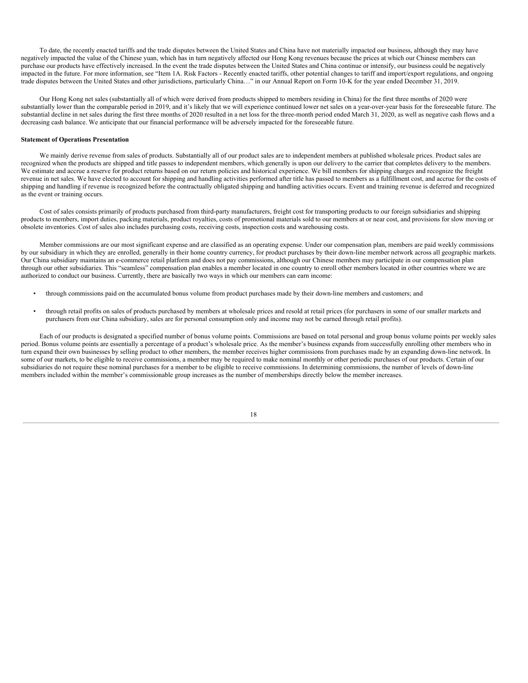To date, the recently enacted tariffs and the trade disputes between the United States and China have not materially impacted our business, although they may have negatively impacted the value of the Chinese yuan, which has in turn negatively affected our Hong Kong revenues because the prices at which our Chinese members can purchase our products have effectively increased. In the event the trade disputes between the United States and China continue or intensify, our business could be negatively impacted in the future. For more information, see "Item 1A. Risk Factors - Recently enacted tariffs, other potential changes to tariff and import/export regulations, and ongoing trade disputes between the United States and other jurisdictions, particularly China…" in our Annual Report on Form 10-K for the year ended December 31, 2019.

Our Hong Kong net sales (substantially all of which were derived from products shipped to members residing in China) for the first three months of 2020 were substantially lower than the comparable period in 2019, and it's likely that we will experience continued lower net sales on a year-over-year basis for the foreseeable future. The substantial decline in net sales during the first three months of 2020 resulted in a net loss for the three-month period ended March 31, 2020, as well as negative cash flows and a decreasing cash balance. We anticipate that our financial performance will be adversely impacted for the foreseeable future.

#### **Statement of Operations Presentation**

We mainly derive revenue from sales of products. Substantially all of our product sales are to independent members at published wholesale prices. Product sales are recognized when the products are shipped and title passes to independent members, which generally is upon our delivery to the carrier that completes delivery to the members. We estimate and accrue a reserve for product returns based on our return policies and historical experience. We bill members for shipping charges and recognize the freight revenue in net sales. We have elected to account for shipping and handling activities performed after title has passed to members as a fulfillment cost, and accrue for the costs of shipping and handling if revenue is recognized before the contractually obligated shipping and handling activities occurs. Event and training revenue is deferred and recognized as the event or training occurs.

Cost of sales consists primarily of products purchased from third-party manufacturers, freight cost for transporting products to our foreign subsidiaries and shipping products to members, import duties, packing materials, product royalties, costs of promotional materials sold to our members at or near cost, and provisions for slow moving or obsolete inventories. Cost of sales also includes purchasing costs, receiving costs, inspection costs and warehousing costs.

Member commissions are our most significant expense and are classified as an operating expense. Under our compensation plan, members are paid weekly commissions by our subsidiary in which they are enrolled, generally in their home country currency, for product purchases by their down-line member network across all geographic markets. Our China subsidiary maintains an e-commerce retail platform and does not pay commissions, although our Chinese members may participate in our compensation plan through our other subsidiaries. This "seamless" compensation plan enables a member located in one country to enroll other members located in other countries where we are authorized to conduct our business. Currently, there are basically two ways in which our members can earn income:

- through commissions paid on the accumulated bonus volume from product purchases made by their down-line members and customers; and
- through retail profits on sales of products purchased by members at wholesale prices and resold at retail prices (for purchasers in some of our smaller markets and purchasers from our China subsidiary, sales are for personal consumption only and income may not be earned through retail profits).

Each of our products is designated a specified number of bonus volume points. Commissions are based on total personal and group bonus volume points per weekly sales period. Bonus volume points are essentially a percentage of a product's wholesale price. As the member's business expands from successfully enrolling other members who in turn expand their own businesses by selling product to other members, the member receives higher commissions from purchases made by an expanding down-line network. In some of our markets, to be eligible to receive commissions, a member may be required to make nominal monthly or other periodic purchases of our products. Certain of our subsidiaries do not require these nominal purchases for a member to be eligible to receive commissions. In determining commissions, the number of levels of down-line members included within the member's commissionable group increases as the number of memberships directly below the member increases.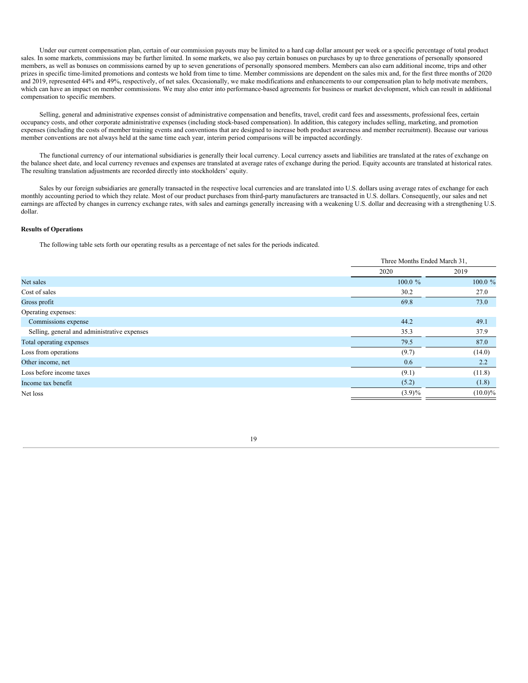Under our current compensation plan, certain of our commission payouts may be limited to a hard cap dollar amount per week or a specific percentage of total product sales. In some markets, commissions may be further limited. In some markets, we also pay certain bonuses on purchases by up to three generations of personally sponsored members, as well as bonuses on commissions earned by up to seven generations of personally sponsored members. Members can also earn additional income, trips and other prizes in specific time-limited promotions and contests we hold from time to time. Member commissions are dependent on the sales mix and, for the first three months of 2020 and 2019, represented 44% and 49%, respectively, of net sales. Occasionally, we make modifications and enhancements to our compensation plan to help motivate members, which can have an impact on member commissions. We may also enter into performance-based agreements for business or market development, which can result in additional compensation to specific members.

Selling, general and administrative expenses consist of administrative compensation and benefits, travel, credit card fees and assessments, professional fees, certain occupancy costs, and other corporate administrative expenses (including stock-based compensation). In addition, this category includes selling, marketing, and promotion expenses (including the costs of member training events and conventions that are designed to increase both product awareness and member recruitment). Because our various member conventions are not always held at the same time each year, interim period comparisons will be impacted accordingly.

The functional currency of our international subsidiaries is generally their local currency. Local currency assets and liabilities are translated at the rates of exchange on the balance sheet date, and local currency revenues and expenses are translated at average rates of exchange during the period. Equity accounts are translated at historical rates. The resulting translation adjustments are recorded directly into stockholders' equity.

Sales by our foreign subsidiaries are generally transacted in the respective local currencies and are translated into U.S. dollars using average rates of exchange for each monthly accounting period to which they relate. Most of our product purchases from third-party manufacturers are transacted in U.S. dollars. Consequently, our sales and net earnings are affected by changes in currency exchange rates, with sales and earnings generally increasing with a weakening U.S. dollar and decreasing with a strengthening U.S. dollar.

# **Results of Operations**

The following table sets forth our operating results as a percentage of net sales for the periods indicated.

|                                              | Three Months Ended March 31, |            |
|----------------------------------------------|------------------------------|------------|
|                                              | 2020                         | 2019       |
| Net sales                                    | $100.0 \%$                   | 100.0 %    |
| Cost of sales                                | 30.2                         | 27.0       |
| Gross profit                                 | 69.8                         | 73.0       |
| Operating expenses:                          |                              |            |
| Commissions expense                          | 44.2                         | 49.1       |
| Selling, general and administrative expenses | 35.3                         | 37.9       |
| Total operating expenses                     | 79.5                         | 87.0       |
| Loss from operations                         | (9.7)                        | (14.0)     |
| Other income, net                            | 0.6                          | 2.2        |
| Loss before income taxes                     | (9.1)                        | (11.8)     |
| Income tax benefit                           | (5.2)                        | (1.8)      |
| Net loss                                     | $(3.9)\%$                    | $(10.0)\%$ |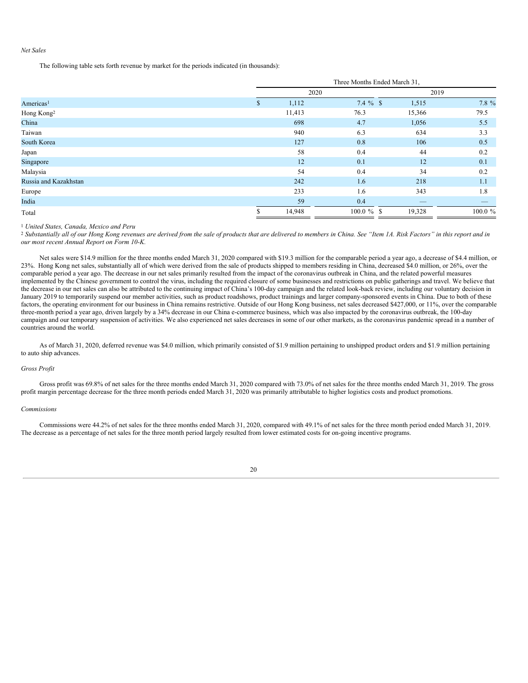## *Net Sales*

The following table sets forth revenue by market for the periods indicated (in thousands):

|                        | Three Months Ended March 31, |        |               |        |         |
|------------------------|------------------------------|--------|---------------|--------|---------|
| 2020                   |                              | 2019   |               |        |         |
| Americas <sup>1</sup>  |                              | 1,112  | $7.4 \%$ \$   | 1,515  | 7.8 %   |
| Hong Kong <sup>2</sup> |                              | 11,413 | 76.3          | 15,366 | 79.5    |
| China                  |                              | 698    | 4.7           | 1,056  | 5.5     |
| Taiwan                 |                              | 940    | 6.3           | 634    | 3.3     |
| South Korea            |                              | 127    | 0.8           | 106    | 0.5     |
| Japan                  |                              | 58     | 0.4           | 44     | 0.2     |
| Singapore              |                              | 12     | 0.1           | 12     | 0.1     |
| Malaysia               |                              | 54     | 0.4           | 34     | 0.2     |
| Russia and Kazakhstan  |                              | 242    | 1.6           | 218    | 1.1     |
| Europe                 |                              | 233    | 1.6           | 343    | 1.8     |
| India                  |                              | 59     | 0.4           | _      |         |
| Total                  |                              | 14,948 | $100.0 \%$ \$ | 19,328 | 100.0 % |

<sup>1</sup> *United States, Canada, Mexico and Peru*

<sup>2</sup> Substantially all of our Hong Kong revenues are derived from the sale of products that are delivered to members in China. See "Item 1A. Risk Factors" in this report and in *our most recent Annual Report on Form 10-K.*

Net sales were \$14.9 million for the three months ended March 31, 2020 compared with \$19.3 million for the comparable period a year ago, a decrease of \$4.4 million, or 23%. Hong Kong net sales, substantially all of which were derived from the sale of products shipped to members residing in China, decreased \$4.0 million, or 26%, over the comparable period a year ago. The decrease in our net sales primarily resulted from the impact of the coronavirus outbreak in China, and the related powerful measures implemented by the Chinese government to control the virus, including the required closure of some businesses and restrictions on public gatherings and travel. We believe that the decrease in our net sales can also be attributed to the continuing impact of China's 100-day campaign and the related look-back review, including our voluntary decision in January 2019 to temporarily suspend our member activities, such as product roadshows, product trainings and larger company-sponsored events in China. Due to both of these factors, the operating environment for our business in China remains restrictive. Outside of our Hong Kong business, net sales decreased \$427,000, or 11%, over the comparable three-month period a year ago, driven largely by a 34% decrease in our China e-commerce business, which was also impacted by the coronavirus outbreak, the 100-day campaign and our temporary suspension of activities. We also experienced net sales decreases in some of our other markets, as the coronavirus pandemic spread in a number of countries around the world.

As of March 31, 2020, deferred revenue was \$4.0 million, which primarily consisted of \$1.9 million pertaining to unshipped product orders and \$1.9 million pertaining to auto ship advances.

# *Gross Profit*

Gross profit was 69.8% of net sales for the three months ended March 31, 2020 compared with 73.0% of net sales for the three months ended March 31, 2019. The gross profit margin percentage decrease for the three month periods ended March 31, 2020 was primarily attributable to higher logistics costs and product promotions.

#### *Commissions*

Commissions were 44.2% of net sales for the three months ended March 31, 2020, compared with 49.1% of net sales for the three month period ended March 31, 2019. The decrease as a percentage of net sales for the three month period largely resulted from lower estimated costs for on-going incentive programs.

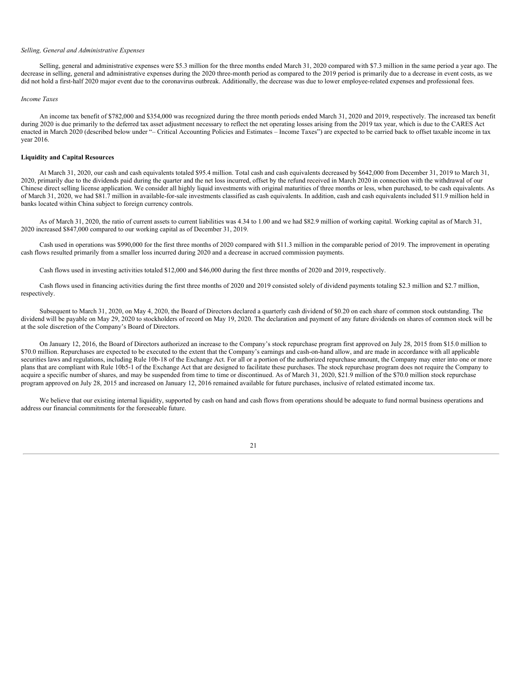#### *Selling, General and Administrative Expenses*

Selling, general and administrative expenses were \$5.3 million for the three months ended March 31, 2020 compared with \$7.3 million in the same period a year ago. The decrease in selling, general and administrative expenses during the 2020 three-month period as compared to the 2019 period is primarily due to a decrease in event costs, as we did not hold a first-half 2020 major event due to the coronavirus outbreak. Additionally, the decrease was due to lower employee-related expenses and professional fees.

#### *Income Taxes*

An income tax benefit of \$782,000 and \$354,000 was recognized during the three month periods ended March 31, 2020 and 2019, respectively. The increased tax benefit during 2020 is due primarily to the deferred tax asset adjustment necessary to reflect the net operating losses arising from the 2019 tax year, which is due to the CARES Act enacted in March 2020 (described below under "– Critical Accounting Policies and Estimates – Income Taxes") are expected to be carried back to offset taxable income in tax year 2016.

## **Liquidity and Capital Resources**

At March 31, 2020, our cash and cash equivalents totaled \$95.4 million. Total cash and cash equivalents decreased by \$642,000 from December 31, 2019 to March 31, 2020, primarily due to the dividends paid during the quarter and the net loss incurred, offset by the refund received in March 2020 in connection with the withdrawal of our Chinese direct selling license application. We consider all highly liquid investments with original maturities of three months or less, when purchased, to be cash equivalents. As of March 31, 2020, we had \$81.7 million in available-for-sale investments classified as cash equivalents. In addition, cash and cash equivalents included \$11.9 million held in banks located within China subject to foreign currency controls.

As of March 31, 2020, the ratio of current assets to current liabilities was 4.34 to 1.00 and we had \$82.9 million of working capital. Working capital as of March 31, 2020 increased \$847,000 compared to our working capital as of December 31, 2019.

Cash used in operations was \$990,000 for the first three months of 2020 compared with \$11.3 million in the comparable period of 2019. The improvement in operating cash flows resulted primarily from a smaller loss incurred during 2020 and a decrease in accrued commission payments.

Cash flows used in investing activities totaled \$12,000 and \$46,000 during the first three months of 2020 and 2019, respectively.

Cash flows used in financing activities during the first three months of 2020 and 2019 consisted solely of dividend payments totaling \$2.3 million and \$2.7 million, respectively.

Subsequent to March 31, 2020, on May 4, 2020, the Board of Directors declared a quarterly cash dividend of \$0.20 on each share of common stock outstanding. The dividend will be payable on May 29, 2020 to stockholders of record on May 19, 2020. The declaration and payment of any future dividends on shares of common stock will be at the sole discretion of the Company's Board of Directors.

On January 12, 2016, the Board of Directors authorized an increase to the Company's stock repurchase program first approved on July 28, 2015 from \$15.0 million to \$70.0 million. Repurchases are expected to be executed to the extent that the Company's earnings and cash-on-hand allow, and are made in accordance with all applicable securities laws and regulations, including Rule 10b-18 of the Exchange Act. For all or a portion of the authorized repurchase amount, the Company may enter into one or more plans that are compliant with Rule 10b5-1 of the Exchange Act that are designed to facilitate these purchases. The stock repurchase program does not require the Company to acquire a specific number of shares, and may be suspended from time to time or discontinued. As of March 31, 2020, \$21.9 million of the \$70.0 million stock repurchase program approved on July 28, 2015 and increased on January 12, 2016 remained available for future purchases, inclusive of related estimated income tax.

We believe that our existing internal liquidity, supported by cash on hand and cash flows from operations should be adequate to fund normal business operations and address our financial commitments for the foreseeable future.

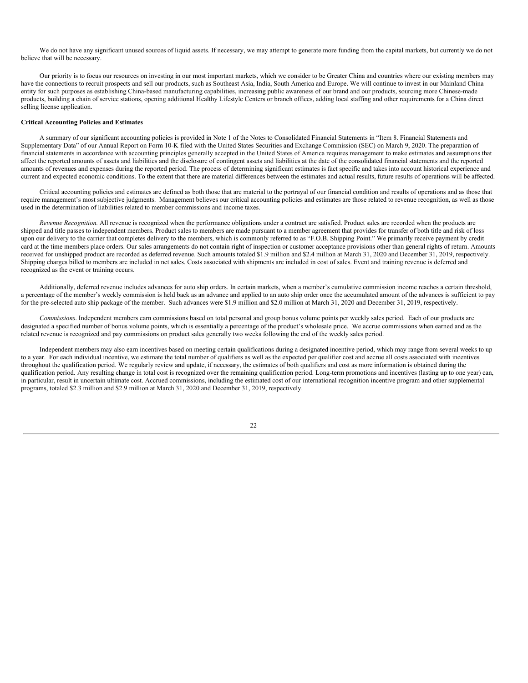We do not have any significant unused sources of liquid assets. If necessary, we may attempt to generate more funding from the capital markets, but currently we do not believe that will be necessary.

Our priority is to focus our resources on investing in our most important markets, which we consider to be Greater China and countries where our existing members may have the connections to recruit prospects and sell our products, such as Southeast Asia, India, South America and Europe. We will continue to invest in our Mainland China entity for such purposes as establishing China-based manufacturing capabilities, increasing public awareness of our brand and our products, sourcing more Chinese-made products, building a chain of service stations, opening additional Healthy Lifestyle Centers or branch offices, adding local staffing and other requirements for a China direct selling license application.

# **Critical Accounting Policies and Estimates**

A summary of our significant accounting policies is provided in Note 1 of the Notes to Consolidated Financial Statements in "Item 8. Financial Statements and Supplementary Data" of our Annual Report on Form 10-K filed with the United States Securities and Exchange Commission (SEC) on March 9, 2020. The preparation of financial statements in accordance with accounting principles generally accepted in the United States of America requires management to make estimates and assumptions that affect the reported amounts of assets and liabilities and the disclosure of contingent assets and liabilities at the date of the consolidated financial statements and the reported amounts of revenues and expenses during the reported period. The process of determining significant estimates is fact specific and takes into account historical experience and current and expected economic conditions. To the extent that there are material differences between the estimates and actual results, future results of operations will be affected.

Critical accounting policies and estimates are defined as both those that are material to the portrayal of our financial condition and results of operations and as those that require management's most subjective judgments. Management believes our critical accounting policies and estimates are those related to revenue recognition, as well as those used in the determination of liabilities related to member commissions and income taxes.

*Revenue Recognition.* All revenue is recognized when the performance obligations under a contract are satisfied. Product sales are recorded when the products are shipped and title passes to independent members. Product sales to members are made pursuant to a member agreement that provides for transfer of both title and risk of loss upon our delivery to the carrier that completes delivery to the members, which is commonly referred to as "F.O.B. Shipping Point." We primarily receive payment by credit card at the time members place orders. Our sales arrangements do not contain right of inspection or customer acceptance provisions other than general rights of return. Amounts received for unshipped product are recorded as deferred revenue. Such amounts totaled \$1.9 million and \$2.4 million at March 31, 2020 and December 31, 2019, respectively. Shipping charges billed to members are included in net sales. Costs associated with shipments are included in cost of sales. Event and training revenue is deferred and recognized as the event or training occurs.

Additionally, deferred revenue includes advances for auto ship orders. In certain markets, when a member's cumulative commission income reaches a certain threshold, a percentage of the member's weekly commission is held back as an advance and applied to an auto ship order once the accumulated amount of the advances is sufficient to pay for the pre-selected auto ship package of the member. Such advances were \$1.9 million and \$2.0 million at March 31, 2020 and December 31, 2019, respectively.

*Commissions*. Independent members earn commissions based on total personal and group bonus volume points per weekly sales period. Each of our products are designated a specified number of bonus volume points, which is essentially a percentage of the product's wholesale price. We accrue commissions when earned and as the related revenue is recognized and pay commissions on product sales generally two weeks following the end of the weekly sales period.

Independent members may also earn incentives based on meeting certain qualifications during a designated incentive period, which may range from several weeks to up to a year. For each individual incentive, we estimate the total number of qualifiers as well as the expected per qualifier cost and accrue all costs associated with incentives throughout the qualification period. We regularly review and update, if necessary, the estimates of both qualifiers and cost as more information is obtained during the qualification period. Any resulting change in total cost is recognized over the remaining qualification period. Long-term promotions and incentives (lasting up to one year) can, in particular, result in uncertain ultimate cost. Accrued commissions, including the estimated cost of our international recognition incentive program and other supplemental programs, totaled \$2.3 million and \$2.9 million at March 31, 2020 and December 31, 2019, respectively.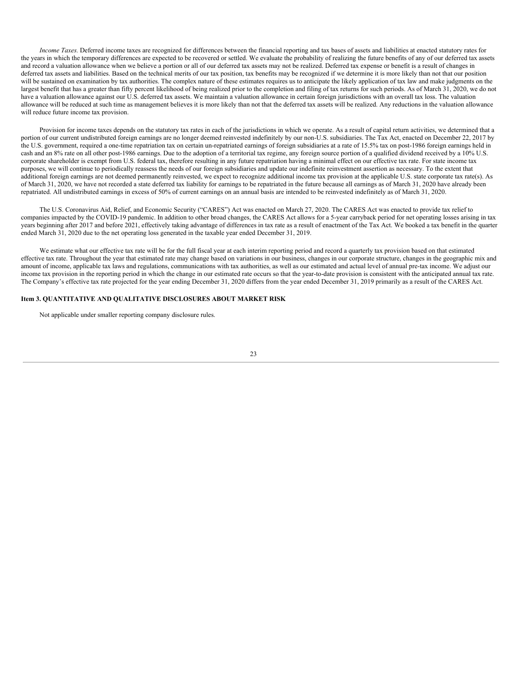*Income Taxes*. Deferred income taxes are recognized for differences between the financial reporting and tax bases of assets and liabilities at enacted statutory rates for the years in which the temporary differences are expected to be recovered or settled. We evaluate the probability of realizing the future benefits of any of our deferred tax assets and record a valuation allowance when we believe a portion or all of our deferred tax assets may not be realized. Deferred tax expense or benefit is a result of changes in deferred tax assets and liabilities. Based on the technical merits of our tax position, tax benefits may be recognized if we determine it is more likely than not that our position will be sustained on examination by tax authorities. The complex nature of these estimates requires us to anticipate the likely application of tax law and make judgments on the largest benefit that has a greater than fifty percent likelihood of being realized prior to the completion and filing of tax returns for such periods. As of March 31, 2020, we do not have a valuation allowance against our U.S. deferred tax assets. We maintain a valuation allowance in certain foreign jurisdictions with an overall tax loss. The valuation allowance will be reduced at such time as management believes it is more likely than not that the deferred tax assets will be realized. Any reductions in the valuation allowance will reduce future income tax provision.

Provision for income taxes depends on the statutory tax rates in each of the jurisdictions in which we operate. As a result of capital return activities, we determined that a portion of our current undistributed foreign earnings are no longer deemed reinvested indefinitely by our non-U.S. subsidiaries. The Tax Act, enacted on December 22, 2017 by the U.S. government, required a one-time repatriation tax on certain un-repatriated earnings of foreign subsidiaries at a rate of 15.5% tax on post-1986 foreign earnings held in cash and an 8% rate on all other post-1986 earnings. Due to the adoption of a territorial tax regime, any foreign source portion of a qualified dividend received by a 10% U.S. corporate shareholder is exempt from U.S. federal tax, therefore resulting in any future repatriation having a minimal effect on our effective tax rate. For state income tax purposes, we will continue to periodically reassess the needs of our foreign subsidiaries and update our indefinite reinvestment assertion as necessary. To the extent that additional foreign earnings are not deemed permanently reinvested, we expect to recognize additional income tax provision at the applicable U.S. state corporate tax rate(s). As of March 31, 2020, we have not recorded a state deferred tax liability for earnings to be repatriated in the future because all earnings as of March 31, 2020 have already been repatriated. All undistributed earnings in excess of 50% of current earnings on an annual basis are intended to be reinvested indefinitely as of March 31, 2020.

The U.S. Coronavirus Aid, Relief, and Economic Security ("CARES") Act was enacted on March 27, 2020. The CARES Act was enacted to provide tax relief to companies impacted by the COVID-19 pandemic. In addition to other broad changes, the CARES Act allows for a 5-year carryback period for net operating losses arising in tax years beginning after 2017 and before 2021, effectively taking advantage of differences in tax rate as a result of enactment of the Tax Act. We booked a tax benefit in the quarter ended March 31, 2020 due to the net operating loss generated in the taxable year ended December 31, 2019.

We estimate what our effective tax rate will be for the full fiscal year at each interim reporting period and record a quarterly tax provision based on that estimated effective tax rate. Throughout the year that estimated rate may change based on variations in our business, changes in our corporate structure, changes in the geographic mix and amount of income, applicable tax laws and regulations, communications with tax authorities, as well as our estimated and actual level of annual pre-tax income. We adjust our income tax provision in the reporting period in which the change in our estimated rate occurs so that the year-to-date provision is consistent with the anticipated annual tax rate. The Company's effective tax rate projected for the year ending December 31, 2020 differs from the year ended December 31, 2019 primarily as a result of the CARES Act.

# <span id="page-27-0"></span>**Item 3. QUANTITATIVE AND QUALITATIVE DISCLOSURES ABOUT MARKET RISK**

<span id="page-27-1"></span>Not applicable under smaller reporting company disclosure rules.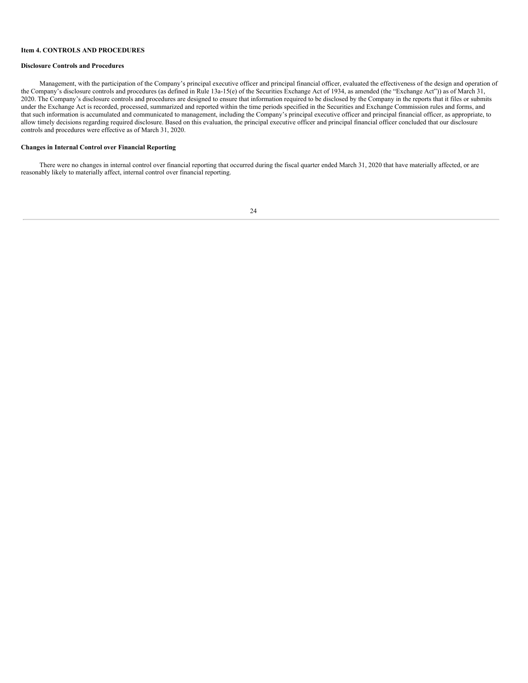#### **Item 4. CONTROLS AND PROCEDURES**

## **Disclosure Controls and Procedures**

Management, with the participation of the Company's principal executive officer and principal financial officer, evaluated the effectiveness of the design and operation of the Company's disclosure controls and procedures (as defined in Rule 13a-15(e) of the Securities Exchange Act of 1934, as amended (the "Exchange Act")) as of March 31, 2020. The Company's disclosure controls and procedures are designed to ensure that information required to be disclosed by the Company in the reports that it files or submits under the Exchange Act is recorded, processed, summarized and reported within the time periods specified in the Securities and Exchange Commission rules and forms, and that such information is accumulated and communicated to management, including the Company's principal executive officer and principal financial officer, as appropriate, to allow timely decisions regarding required disclosure. Based on this evaluation, the principal executive officer and principal financial officer concluded that our disclosure controls and procedures were effective as of March 31, 2020.

# **Changes in Internal Control over Financial Reporting**

<span id="page-28-0"></span>There were no changes in internal control over financial reporting that occurred during the fiscal quarter ended March 31, 2020 that have materially affected, or are reasonably likely to materially affect, internal control over financial reporting.

|   | I |
|---|---|
| I |   |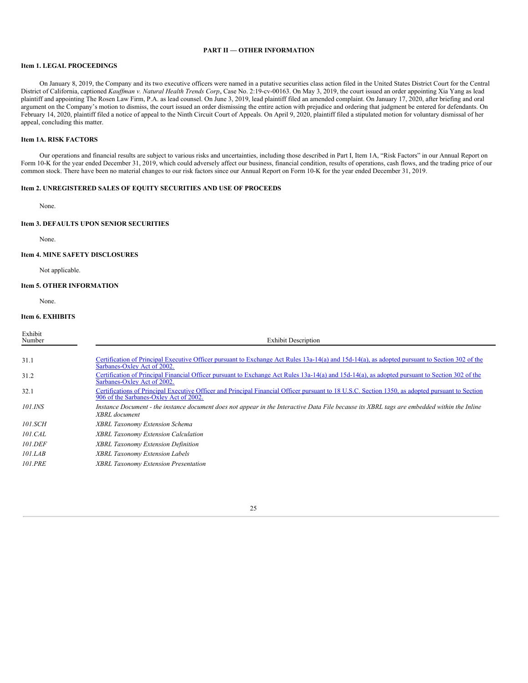## **PART II — OTHER INFORMATION**

# <span id="page-29-0"></span>**Item 1. LEGAL PROCEEDINGS**

On January 8, 2019, the Company and its two executive officers were named in a putative securities class action filed in the United States District Court for the Central District of California, captioned *Kauffman v. Natural Health Trends Corp.*, Case No. 2:19-cv-00163. On May 3, 2019, the court issued an order appointing Xia Yang as lead plaintiff and appointing The Rosen Law Firm, P.A. as lead counsel. On June 3, 2019, lead plaintiff filed an amended complaint. On January 17, 2020, after briefing and oral argument on the Company's motion to dismiss, the court issued an order dismissing the entire action with prejudice and ordering that judgment be entered for defendants. On February 14, 2020, plaintiff filed a notice of appeal to the Ninth Circuit Court of Appeals. On April 9, 2020, plaintiff filed a stipulated motion for voluntary dismissal of her appeal, concluding this matter.

# <span id="page-29-1"></span>**Item 1A. RISK FACTORS**

Our operations and financial results are subject to various risks and uncertainties, including those described in Part I, Item 1A, "Risk Factors" in our Annual Report on Form 10-K for the year ended December 31, 2019, which could adversely affect our business, financial condition, results of operations, cash flows, and the trading price of our common stock. There have been no material changes to our risk factors since our Annual Report on Form 10-K for the year ended December 31, 2019.

# <span id="page-29-2"></span>**Item 2. UNREGISTERED SALES OF EQUITY SECURITIES AND USE OF PROCEEDS**

None.

# <span id="page-29-3"></span>**Item 3. DEFAULTS UPON SENIOR SECURITIES**

None.

# <span id="page-29-4"></span>**Item 4. MINE SAFETY DISCLOSURES**

Not applicable.

# <span id="page-29-5"></span>**Item 5. OTHER INFORMATION**

None.

# <span id="page-29-6"></span>**Item 6. EXHIBITS**

<span id="page-29-7"></span>

| Exhibit<br>Number     | <b>Exhibit Description</b>                                                                                                                                                                 |
|-----------------------|--------------------------------------------------------------------------------------------------------------------------------------------------------------------------------------------|
|                       |                                                                                                                                                                                            |
| 31.1                  | Certification of Principal Executive Officer pursuant to Exchange Act Rules 13a-14(a) and 15d-14(a), as adopted pursuant to Section 302 of the<br>Sarbanes-Oxley Act of 2002.              |
| 31.2                  | Certification of Principal Financial Officer pursuant to Exchange Act Rules 13a-14(a) and 15d-14(a), as adopted pursuant to Section 302 of the<br>Sarbanes-Oxley Act of 2002.              |
| 32.1                  | Certifications of Principal Executive Officer and Principal Financial Officer pursuant to 18 U.S.C. Section 1350, as adopted pursuant to Section<br>906 of the Sarbanes-Oxley Act of 2002. |
| 101.INS               | Instance Document - the instance document does not appear in the Interactive Data File because its XBRL tags are embedded within the Inline<br>XBRL document                               |
| <i>101.SCH</i>        | XBRL Taxonomy Extension Schema                                                                                                                                                             |
| <i>101.CAL</i>        | XBRL Taxonomy Extension Calculation                                                                                                                                                        |
| <i><b>101.DEF</b></i> | XBRL Taxonomy Extension Definition                                                                                                                                                         |
| 101.LAB               | XBRL Taxonomy Extension Labels                                                                                                                                                             |
| 101.PRE               | XBRL Taxonomy Extension Presentation                                                                                                                                                       |

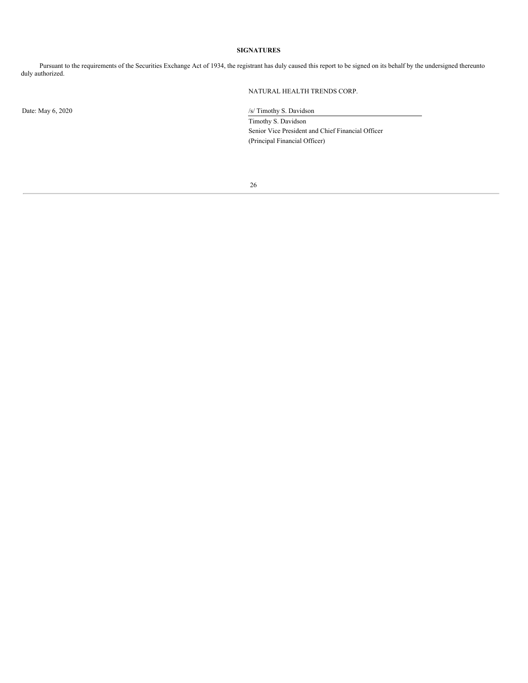# **SIGNATURES**

Pursuant to the requirements of the Securities Exchange Act of 1934, the registrant has duly caused this report to be signed on its behalf by the undersigned thereunto duly authorized.

NATURAL HEALTH TRENDS CORP.

Date: May 6, 2020 /s/ Timothy S. Davidson Timothy S. Davidson Senior Vice President and Chief Financial Officer (Principal Financial Officer)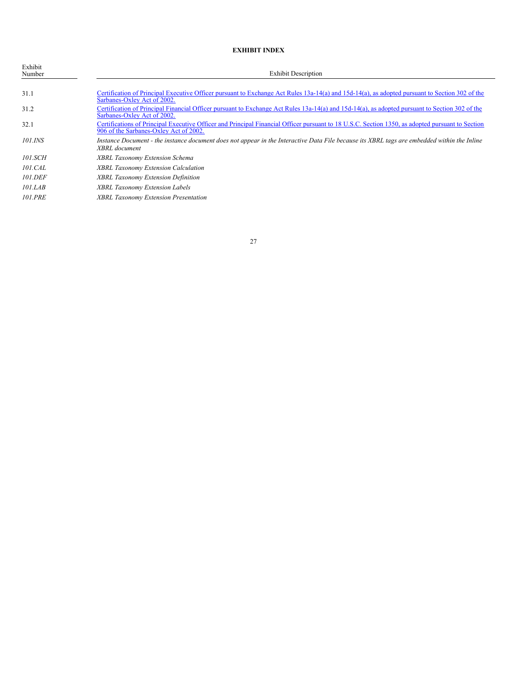**EXHIBIT INDEX**

 $\overline{\phantom{0}}$ 

| Exhibit<br>Number     | <b>Exhibit Description</b>                                                                                                                                                                 |
|-----------------------|--------------------------------------------------------------------------------------------------------------------------------------------------------------------------------------------|
|                       |                                                                                                                                                                                            |
| 31.1                  | Certification of Principal Executive Officer pursuant to Exchange Act Rules 13a-14(a) and 15d-14(a), as adopted pursuant to Section 302 of the<br>Sarbanes-Oxley Act of 2002.              |
| 31.2                  | Certification of Principal Financial Officer pursuant to Exchange Act Rules 13a-14(a) and 15d-14(a), as adopted pursuant to Section 302 of the<br>Sarbanes-Oxley Act of 2002.              |
| 32.1                  | Certifications of Principal Executive Officer and Principal Financial Officer pursuant to 18 U.S.C. Section 1350, as adopted pursuant to Section<br>906 of the Sarbanes-Oxley Act of 2002. |
| <i>101.INS</i>        | Instance Document - the instance document does not appear in the Interactive Data File because its XBRL tags are embedded within the Inline<br>XBRL document                               |
| <i>101.SCH</i>        | XBRL Taxonomy Extension Schema                                                                                                                                                             |
| 101.CAL               | <b>XBRL Taxonomy Extension Calculation</b>                                                                                                                                                 |
| <i><b>101.DEF</b></i> | XBRL Taxonomy Extension Definition                                                                                                                                                         |
| 101.LAB               | XBRL Taxonomy Extension Labels                                                                                                                                                             |
| <b>101.PRE</b>        | XBRL Taxonomy Extension Presentation                                                                                                                                                       |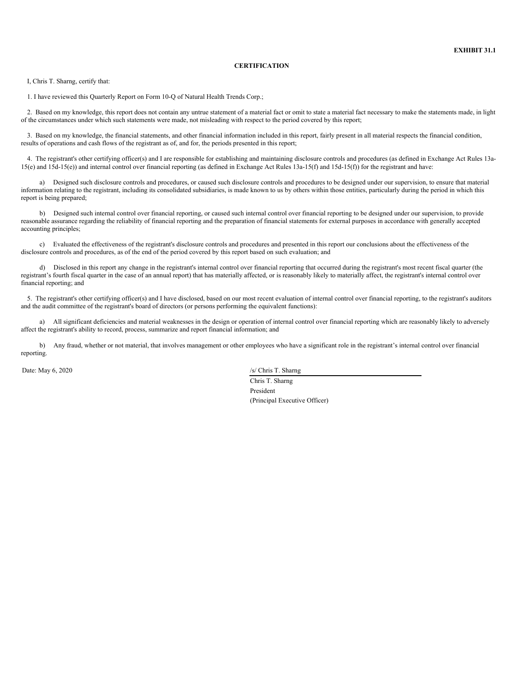#### **CERTIFICATION**

<span id="page-32-0"></span>I, Chris T. Sharng, certify that:

1. I have reviewed this Quarterly Report on Form 10-Q of Natural Health Trends Corp.;

2. Based on my knowledge, this report does not contain any untrue statement of a material fact or omit to state a material fact necessary to make the statements made, in light of the circumstances under which such statements were made, not misleading with respect to the period covered by this report;

3. Based on my knowledge, the financial statements, and other financial information included in this report, fairly present in all material respects the financial condition, results of operations and cash flows of the registrant as of, and for, the periods presented in this report;

4. The registrant's other certifying officer(s) and I are responsible for establishing and maintaining disclosure controls and procedures (as defined in Exchange Act Rules 13a-15(e) and 15d-15(e)) and internal control over financial reporting (as defined in Exchange Act Rules 13a-15(f) and 15d-15(f)) for the registrant and have:

a) Designed such disclosure controls and procedures, or caused such disclosure controls and procedures to be designed under our supervision, to ensure that material information relating to the registrant, including its consolidated subsidiaries, is made known to us by others within those entities, particularly during the period in which this report is being prepared;

b) Designed such internal control over financial reporting, or caused such internal control over financial reporting to be designed under our supervision, to provide reasonable assurance regarding the reliability of financial reporting and the preparation of financial statements for external purposes in accordance with generally accepted accounting principles;

c) Evaluated the effectiveness of the registrant's disclosure controls and procedures and presented in this report our conclusions about the effectiveness of the disclosure controls and procedures, as of the end of the period covered by this report based on such evaluation; and

d) Disclosed in this report any change in the registrant's internal control over financial reporting that occurred during the registrant's most recent fiscal quarter (the registrant's fourth fiscal quarter in the case of an annual report) that has materially affected, or is reasonably likely to materially affect, the registrant's internal control over financial reporting; and

5. The registrant's other certifying officer(s) and I have disclosed, based on our most recent evaluation of internal control over financial reporting, to the registrant's auditors and the audit committee of the registrant's board of directors (or persons performing the equivalent functions):

a) All significant deficiencies and material weaknesses in the design or operation of internal control over financial reporting which are reasonably likely to adversely affect the registrant's ability to record, process, summarize and report financial information; and

b) Any fraud, whether or not material, that involves management or other employees who have a significant role in the registrant's internal control over financial reporting.

Date: May 6, 2020 /s/ Chris T. Sharng

Chris T. Sharng President (Principal Executive Officer)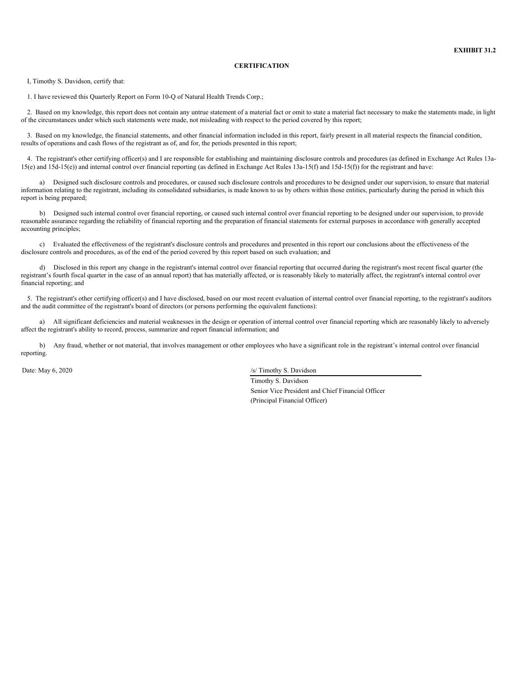#### **CERTIFICATION**

<span id="page-33-0"></span>I, Timothy S. Davidson, certify that:

1. I have reviewed this Quarterly Report on Form 10-Q of Natural Health Trends Corp.;

2. Based on my knowledge, this report does not contain any untrue statement of a material fact or omit to state a material fact necessary to make the statements made, in light of the circumstances under which such statements were made, not misleading with respect to the period covered by this report;

3. Based on my knowledge, the financial statements, and other financial information included in this report, fairly present in all material respects the financial condition, results of operations and cash flows of the registrant as of, and for, the periods presented in this report;

4. The registrant's other certifying officer(s) and I are responsible for establishing and maintaining disclosure controls and procedures (as defined in Exchange Act Rules 13a-15(e) and 15d-15(e)) and internal control over financial reporting (as defined in Exchange Act Rules 13a-15(f) and 15d-15(f)) for the registrant and have:

a) Designed such disclosure controls and procedures, or caused such disclosure controls and procedures to be designed under our supervision, to ensure that material information relating to the registrant, including its consolidated subsidiaries, is made known to us by others within those entities, particularly during the period in which this report is being prepared;

b) Designed such internal control over financial reporting, or caused such internal control over financial reporting to be designed under our supervision, to provide reasonable assurance regarding the reliability of financial reporting and the preparation of financial statements for external purposes in accordance with generally accepted accounting principles;

c) Evaluated the effectiveness of the registrant's disclosure controls and procedures and presented in this report our conclusions about the effectiveness of the disclosure controls and procedures, as of the end of the period covered by this report based on such evaluation; and

d) Disclosed in this report any change in the registrant's internal control over financial reporting that occurred during the registrant's most recent fiscal quarter (the registrant's fourth fiscal quarter in the case of an annual report) that has materially affected, or is reasonably likely to materially affect, the registrant's internal control over financial reporting; and

5. The registrant's other certifying officer(s) and I have disclosed, based on our most recent evaluation of internal control over financial reporting, to the registrant's auditors and the audit committee of the registrant's board of directors (or persons performing the equivalent functions):

a) All significant deficiencies and material weaknesses in the design or operation of internal control over financial reporting which are reasonably likely to adversely affect the registrant's ability to record, process, summarize and report financial information; and

b) Any fraud, whether or not material, that involves management or other employees who have a significant role in the registrant's internal control over financial reporting.

Date: May 6, 2020 /s/ Timothy S. Davidson Timothy S. Davidson Senior Vice President and Chief Financial Officer (Principal Financial Officer)